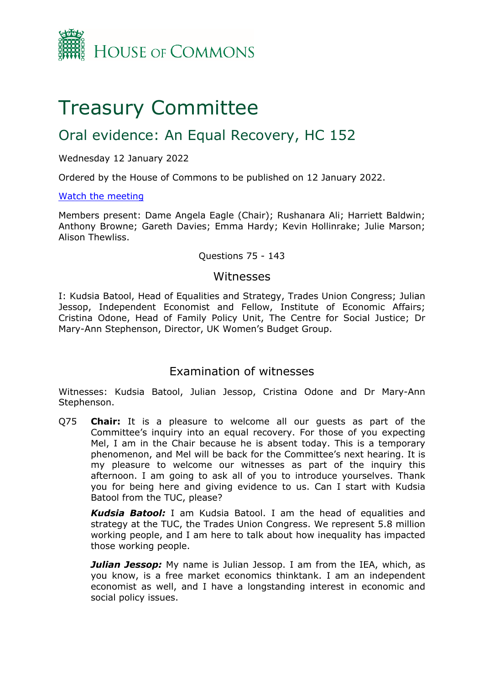

# Treasury Committee

## Oral evidence: An Equal Recovery, HC 152

## Wednesday 12 January 2022

Ordered by the House of Commons to be published on 12 January 2022.

## [Watch](https://parliamentlive.tv/Event/Index/328a4931-228e-4c4f-89ba-f3e563df683e) [the](https://parliamentlive.tv/Event/Index/328a4931-228e-4c4f-89ba-f3e563df683e) [meeting](https://parliamentlive.tv/Event/Index/328a4931-228e-4c4f-89ba-f3e563df683e)

Members present: Dame Angela Eagle (Chair); Rushanara Ali; Harriett Baldwin; Anthony Browne; Gareth Davies; Emma Hardy; Kevin Hollinrake; Julie Marson; Alison Thewliss.

## Questions 75 - 143

## Witnesses

I: Kudsia Batool, Head of Equalities and Strategy, Trades Union Congress; Julian Jessop, Independent Economist and Fellow, Institute of Economic Affairs; Cristina Odone, Head of Family Policy Unit, The Centre for Social Justice; Dr Mary-Ann Stephenson, Director, UK Women's Budget Group.

## Examination of witnesses

Witnesses: Kudsia Batool, Julian Jessop, Cristina Odone and Dr Mary-Ann Stephenson.

Q75 **Chair:** It is a pleasure to welcome all our guests as part of the Committee's inquiry into an equal recovery. For those of you expecting Mel, I am in the Chair because he is absent today. This is a temporary phenomenon, and Mel will be back for the Committee's next hearing. It is my pleasure to welcome our witnesses as part of the inquiry this afternoon. I am going to ask all of you to introduce yourselves. Thank you for being here and giving evidence to us. Can I start with Kudsia Batool from the TUC, please?

*Kudsia Batool:* I am Kudsia Batool. I am the head of equalities and strategy at the TUC, the Trades Union Congress. We represent 5.8 million working people, and I am here to talk about how inequality has impacted those working people.

*Julian Jessop:* My name is Julian Jessop. I am from the IEA, which, as you know, is a free market economics thinktank. I am an independent economist as well, and I have a longstanding interest in economic and social policy issues.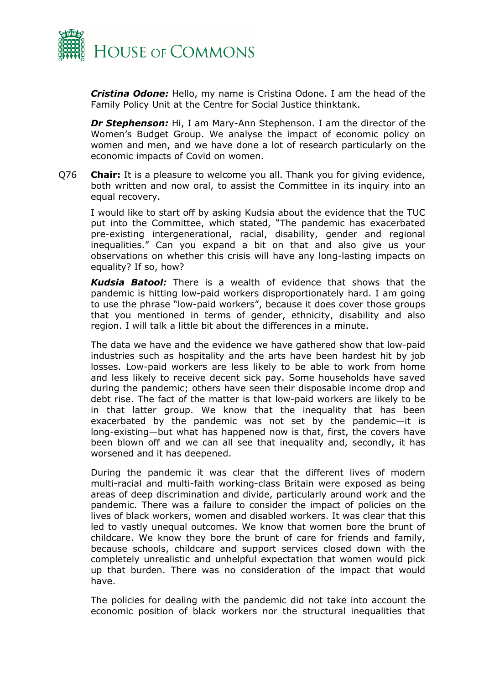

*Cristina Odone:* Hello, my name is Cristina Odone. I am the head of the Family Policy Unit at the Centre for Social Justice thinktank.

*Dr Stephenson:* Hi, I am Mary-Ann Stephenson. I am the director of the Women's Budget Group. We analyse the impact of economic policy on women and men, and we have done a lot of research particularly on the economic impacts of Covid on women.

Q76 **Chair:** It is a pleasure to welcome you all. Thank you for giving evidence, both written and now oral, to assist the Committee in its inquiry into an equal recovery.

I would like to start off by asking Kudsia about the evidence that the TUC put into the Committee, which stated, "The pandemic has exacerbated pre-existing intergenerational, racial, disability, gender and regional inequalities." Can you expand a bit on that and also give us your observations on whether this crisis will have any long-lasting impacts on equality? If so, how?

*Kudsia Batool:* There is a wealth of evidence that shows that the pandemic is hitting low-paid workers disproportionately hard. I am going to use the phrase "low-paid workers", because it does cover those groups that you mentioned in terms of gender, ethnicity, disability and also region. I will talk a little bit about the differences in a minute.

The data we have and the evidence we have gathered show that low-paid industries such as hospitality and the arts have been hardest hit by job losses. Low-paid workers are less likely to be able to work from home and less likely to receive decent sick pay. Some households have saved during the pandemic; others have seen their disposable income drop and debt rise. The fact of the matter is that low-paid workers are likely to be in that latter group. We know that the inequality that has been exacerbated by the pandemic was not set by the pandemic—it is long-existing—but what has happened now is that, first, the covers have been blown off and we can all see that inequality and, secondly, it has worsened and it has deepened.

During the pandemic it was clear that the different lives of modern multi-racial and multi-faith working-class Britain were exposed as being areas of deep discrimination and divide, particularly around work and the pandemic. There was a failure to consider the impact of policies on the lives of black workers, women and disabled workers. It was clear that this led to vastly unequal outcomes. We know that women bore the brunt of childcare. We know they bore the brunt of care for friends and family, because schools, childcare and support services closed down with the completely unrealistic and unhelpful expectation that women would pick up that burden. There was no consideration of the impact that would have.

The policies for dealing with the pandemic did not take into account the economic position of black workers nor the structural inequalities that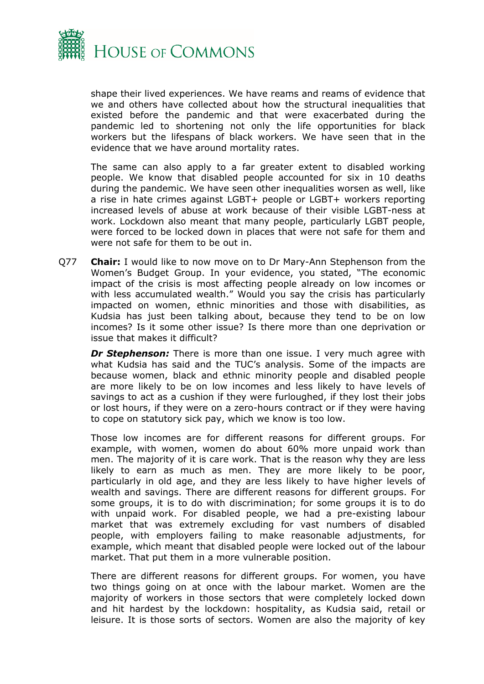

shape their lived experiences. We have reams and reams of evidence that we and others have collected about how the structural inequalities that existed before the pandemic and that were exacerbated during the pandemic led to shortening not only the life opportunities for black workers but the lifespans of black workers. We have seen that in the evidence that we have around mortality rates.

The same can also apply to a far greater extent to disabled working people. We know that disabled people accounted for six in 10 deaths during the pandemic. We have seen other inequalities worsen as well, like a rise in hate crimes against LGBT+ people or LGBT+ workers reporting increased levels of abuse at work because of their visible LGBT-ness at work. Lockdown also meant that many people, particularly LGBT people, were forced to be locked down in places that were not safe for them and were not safe for them to be out in.

Q77 **Chair:** I would like to now move on to Dr Mary-Ann Stephenson from the Women's Budget Group. In your evidence, you stated, "The economic impact of the crisis is most affecting people already on low incomes or with less accumulated wealth." Would you say the crisis has particularly impacted on women, ethnic minorities and those with disabilities, as Kudsia has just been talking about, because they tend to be on low incomes? Is it some other issue? Is there more than one deprivation or issue that makes it difficult?

**Dr Stephenson:** There is more than one issue. I very much agree with what Kudsia has said and the TUC's analysis. Some of the impacts are because women, black and ethnic minority people and disabled people are more likely to be on low incomes and less likely to have levels of savings to act as a cushion if they were furloughed, if they lost their jobs or lost hours, if they were on a zero-hours contract or if they were having to cope on statutory sick pay, which we know is too low.

Those low incomes are for different reasons for different groups. For example, with women, women do about 60% more unpaid work than men. The majority of it is care work. That is the reason why they are less likely to earn as much as men. They are more likely to be poor, particularly in old age, and they are less likely to have higher levels of wealth and savings. There are different reasons for different groups. For some groups, it is to do with discrimination; for some groups it is to do with unpaid work. For disabled people, we had a pre-existing labour market that was extremely excluding for vast numbers of disabled people, with employers failing to make reasonable adjustments, for example, which meant that disabled people were locked out of the labour market. That put them in a more vulnerable position.

There are different reasons for different groups. For women, you have two things going on at once with the labour market. Women are the majority of workers in those sectors that were completely locked down and hit hardest by the lockdown: hospitality, as Kudsia said, retail or leisure. It is those sorts of sectors. Women are also the majority of key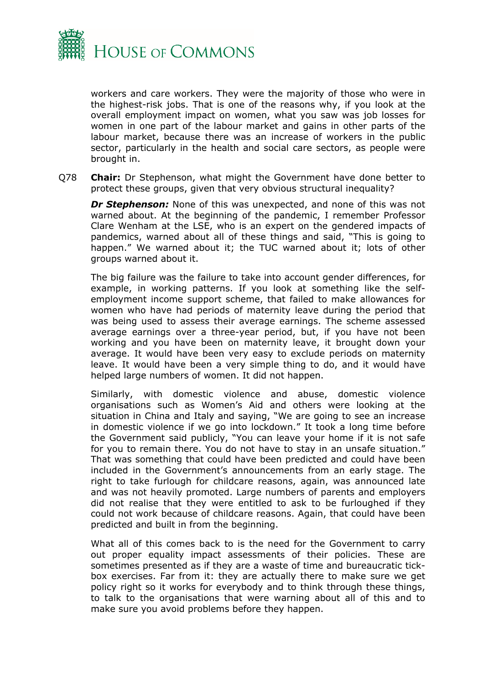

workers and care workers. They were the majority of those who were in the highest-risk jobs. That is one of the reasons why, if you look at the overall employment impact on women, what you saw was job losses for women in one part of the labour market and gains in other parts of the labour market, because there was an increase of workers in the public sector, particularly in the health and social care sectors, as people were brought in.

Q78 **Chair:** Dr Stephenson, what might the Government have done better to protect these groups, given that very obvious structural inequality?

*Dr Stephenson:* None of this was unexpected, and none of this was not warned about. At the beginning of the pandemic, I remember Professor Clare Wenham at the LSE, who is an expert on the gendered impacts of pandemics, warned about all of these things and said, "This is going to happen." We warned about it; the TUC warned about it; lots of other groups warned about it.

The big failure was the failure to take into account gender differences, for example, in working patterns. If you look at something like the selfemployment income support scheme, that failed to make allowances for women who have had periods of maternity leave during the period that was being used to assess their average earnings. The scheme assessed average earnings over a three-year period, but, if you have not been working and you have been on maternity leave, it brought down your average. It would have been very easy to exclude periods on maternity leave. It would have been a very simple thing to do, and it would have helped large numbers of women. It did not happen.

Similarly, with domestic violence and abuse, domestic violence organisations such as Women's Aid and others were looking at the situation in China and Italy and saying, "We are going to see an increase in domestic violence if we go into lockdown." It took a long time before the Government said publicly, "You can leave your home if it is not safe for you to remain there. You do not have to stay in an unsafe situation." That was something that could have been predicted and could have been included in the Government's announcements from an early stage. The right to take furlough for childcare reasons, again, was announced late and was not heavily promoted. Large numbers of parents and employers did not realise that they were entitled to ask to be furloughed if they could not work because of childcare reasons. Again, that could have been predicted and built in from the beginning.

What all of this comes back to is the need for the Government to carry out proper equality impact assessments of their policies. These are sometimes presented as if they are a waste of time and bureaucratic tickbox exercises. Far from it: they are actually there to make sure we get policy right so it works for everybody and to think through these things, to talk to the organisations that were warning about all of this and to make sure you avoid problems before they happen.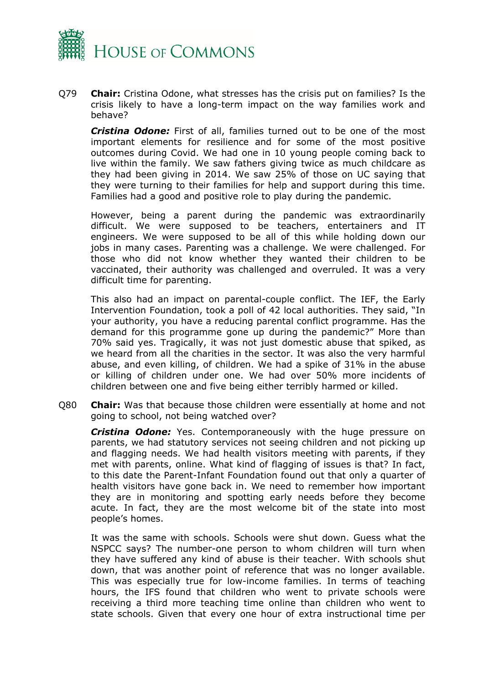

Q79 **Chair:** Cristina Odone, what stresses has the crisis put on families? Is the crisis likely to have a long-term impact on the way families work and behave?

*Cristina Odone:* First of all, families turned out to be one of the most important elements for resilience and for some of the most positive outcomes during Covid. We had one in 10 young people coming back to live within the family. We saw fathers giving twice as much childcare as they had been giving in 2014. We saw 25% of those on UC saying that they were turning to their families for help and support during this time. Families had a good and positive role to play during the pandemic.

However, being a parent during the pandemic was extraordinarily difficult. We were supposed to be teachers, entertainers and IT engineers. We were supposed to be all of this while holding down our jobs in many cases. Parenting was a challenge. We were challenged. For those who did not know whether they wanted their children to be vaccinated, their authority was challenged and overruled. It was a very difficult time for parenting.

This also had an impact on parental-couple conflict. The IEF, the Early Intervention Foundation, took a poll of 42 local authorities. They said, "In your authority, you have a reducing parental conflict programme. Has the demand for this programme gone up during the pandemic?" More than 70% said yes. Tragically, it was not just domestic abuse that spiked, as we heard from all the charities in the sector. It was also the very harmful abuse, and even killing, of children. We had a spike of 31% in the abuse or killing of children under one. We had over 50% more incidents of children between one and five being either terribly harmed or killed.

Q80 **Chair:** Was that because those children were essentially at home and not going to school, not being watched over?

*Cristina Odone:* Yes. Contemporaneously with the huge pressure on parents, we had statutory services not seeing children and not picking up and flagging needs. We had health visitors meeting with parents, if they met with parents, online. What kind of flagging of issues is that? In fact, to this date the Parent-Infant Foundation found out that only a quarter of health visitors have gone back in. We need to remember how important they are in monitoring and spotting early needs before they become acute. In fact, they are the most welcome bit of the state into most people's homes.

It was the same with schools. Schools were shut down. Guess what the NSPCC says? The number-one person to whom children will turn when they have suffered any kind of abuse is their teacher. With schools shut down, that was another point of reference that was no longer available. This was especially true for low-income families. In terms of teaching hours, the IFS found that children who went to private schools were receiving a third more teaching time online than children who went to state schools. Given that every one hour of extra instructional time per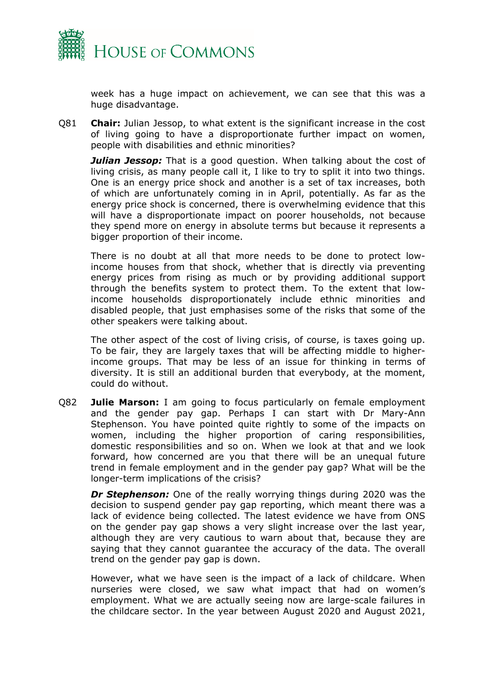

week has a huge impact on achievement, we can see that this was a huge disadvantage.

Q81 **Chair:** Julian Jessop, to what extent is the significant increase in the cost of living going to have a disproportionate further impact on women, people with disabilities and ethnic minorities?

*Julian Jessop:* That is a good question. When talking about the cost of living crisis, as many people call it, I like to try to split it into two things. One is an energy price shock and another is a set of tax increases, both of which are unfortunately coming in in April, potentially. As far as the energy price shock is concerned, there is overwhelming evidence that this will have a disproportionate impact on poorer households, not because they spend more on energy in absolute terms but because it represents a bigger proportion of their income.

There is no doubt at all that more needs to be done to protect lowincome houses from that shock, whether that is directly via preventing energy prices from rising as much or by providing additional support through the benefits system to protect them. To the extent that lowincome households disproportionately include ethnic minorities and disabled people, that just emphasises some of the risks that some of the other speakers were talking about.

The other aspect of the cost of living crisis, of course, is taxes going up. To be fair, they are largely taxes that will be affecting middle to higherincome groups. That may be less of an issue for thinking in terms of diversity. It is still an additional burden that everybody, at the moment, could do without.

Q82 **Julie Marson:** I am going to focus particularly on female employment and the gender pay gap. Perhaps I can start with Dr Mary-Ann Stephenson. You have pointed quite rightly to some of the impacts on women, including the higher proportion of caring responsibilities, domestic responsibilities and so on. When we look at that and we look forward, how concerned are you that there will be an unequal future trend in female employment and in the gender pay gap? What will be the longer-term implications of the crisis?

*Dr Stephenson:* One of the really worrying things during 2020 was the decision to suspend gender pay gap reporting, which meant there was a lack of evidence being collected. The latest evidence we have from ONS on the gender pay gap shows a very slight increase over the last year, although they are very cautious to warn about that, because they are saying that they cannot guarantee the accuracy of the data. The overall trend on the gender pay gap is down.

However, what we have seen is the impact of a lack of childcare. When nurseries were closed, we saw what impact that had on women's employment. What we are actually seeing now are large-scale failures in the childcare sector. In the year between August 2020 and August 2021,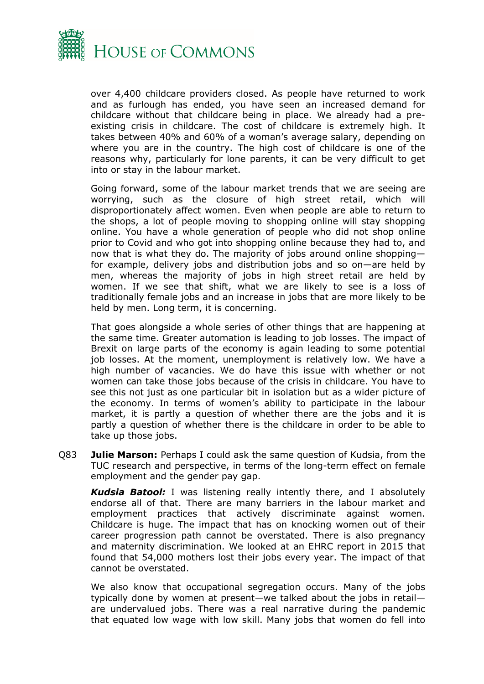

over 4,400 childcare providers closed. As people have returned to work and as furlough has ended, you have seen an increased demand for childcare without that childcare being in place. We already had a preexisting crisis in childcare. The cost of childcare is extremely high. It takes between 40% and 60% of a woman's average salary, depending on where you are in the country. The high cost of childcare is one of the reasons why, particularly for lone parents, it can be very difficult to get into or stay in the labour market.

Going forward, some of the labour market trends that we are seeing are worrying, such as the closure of high street retail, which will disproportionately affect women. Even when people are able to return to the shops, a lot of people moving to shopping online will stay shopping online. You have a whole generation of people who did not shop online prior to Covid and who got into shopping online because they had to, and now that is what they do. The majority of jobs around online shopping for example, delivery jobs and distribution jobs and so on—are held by men, whereas the majority of jobs in high street retail are held by women. If we see that shift, what we are likely to see is a loss of traditionally female jobs and an increase in jobs that are more likely to be held by men. Long term, it is concerning.

That goes alongside a whole series of other things that are happening at the same time. Greater automation is leading to job losses. The impact of Brexit on large parts of the economy is again leading to some potential job losses. At the moment, unemployment is relatively low. We have a high number of vacancies. We do have this issue with whether or not women can take those jobs because of the crisis in childcare. You have to see this not just as one particular bit in isolation but as a wider picture of the economy. In terms of women's ability to participate in the labour market, it is partly a question of whether there are the jobs and it is partly a question of whether there is the childcare in order to be able to take up those jobs.

Q83 **Julie Marson:** Perhaps I could ask the same question of Kudsia, from the TUC research and perspective, in terms of the long-term effect on female employment and the gender pay gap.

*Kudsia Batool:* I was listening really intently there, and I absolutely endorse all of that. There are many barriers in the labour market and employment practices that actively discriminate against women. Childcare is huge. The impact that has on knocking women out of their career progression path cannot be overstated. There is also pregnancy and maternity discrimination. We looked at an EHRC report in 2015 that found that 54,000 mothers lost their jobs every year. The impact of that cannot be overstated.

We also know that occupational segregation occurs. Many of the jobs typically done by women at present—we talked about the jobs in retail are undervalued jobs. There was a real narrative during the pandemic that equated low wage with low skill. Many jobs that women do fell into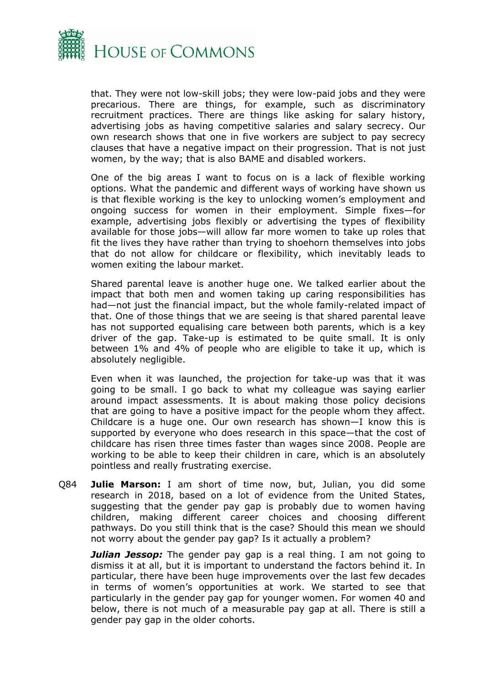

that. They were not low-skill jobs; they were low-paid jobs and they were precarious. There are things, for example, such as discriminatory recruitment practices. There are things like asking for salary history, advertising jobs as having competitive salaries and salary secrecy. Our own research shows that one in five workers are subject to pay secrecy clauses that have a negative impact on their progression. That is not just women, by the way; that is also BAME and disabled workers.

One of the big areas I want to focus on is a lack of flexible working options. What the pandemic and different ways of working have shown us is that flexible working is the key to unlocking women's employment and ongoing success for women in their employment. Simple fixes—for example, advertising jobs flexibly or advertising the types of flexibility available for those jobs—will allow far more women to take up roles that fit the lives they have rather than trying to shoehorn themselves into jobs that do not allow for childcare or flexibility, which inevitably leads to women exiting the labour market.

Shared parental leave is another huge one. We talked earlier about the impact that both men and women taking up caring responsibilities has had—not just the financial impact, but the whole family-related impact of that. One of those things that we are seeing is that shared parental leave has not supported equalising care between both parents, which is a key driver of the gap. Take-up is estimated to be quite small. It is only between 1% and 4% of people who are eligible to take it up, which is absolutely negligible.

Even when it was launched, the projection for take-up was that it was going to be small. I go back to what my colleague was saying earlier around impact assessments. It is about making those policy decisions that are going to have a positive impact for the people whom they affect. Childcare is a huge one. Our own research has shown—I know this is supported by everyone who does research in this space—that the cost of childcare has risen three times faster than wages since 2008. People are working to be able to keep their children in care, which is an absolutely pointless and really frustrating exercise.

Q84 **Julie Marson:** I am short of time now, but, Julian, you did some research in 2018, based on a lot of evidence from the United States, suggesting that the gender pay gap is probably due to women having children, making different career choices and choosing different pathways. Do you still think that is the case? Should this mean we should not worry about the gender pay gap? Is it actually a problem?

*Julian Jessop:* The gender pay gap is a real thing. I am not going to dismiss it at all, but it is important to understand the factors behind it. In particular, there have been huge improvements over the last few decades in terms of women's opportunities at work. We started to see that particularly in the gender pay gap for younger women. For women 40 and below, there is not much of a measurable pay gap at all. There is still a gender pay gap in the older cohorts.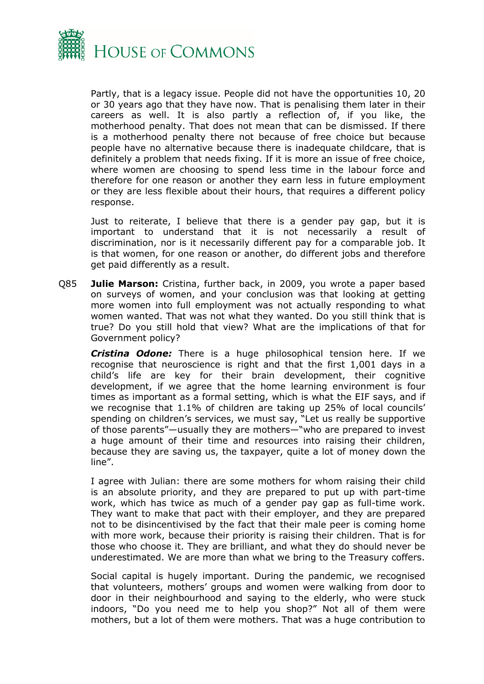

Partly, that is a legacy issue. People did not have the opportunities 10, 20 or 30 years ago that they have now. That is penalising them later in their careers as well. It is also partly a reflection of, if you like, the motherhood penalty. That does not mean that can be dismissed. If there is a motherhood penalty there not because of free choice but because people have no alternative because there is inadequate childcare, that is definitely a problem that needs fixing. If it is more an issue of free choice, where women are choosing to spend less time in the labour force and therefore for one reason or another they earn less in future employment or they are less flexible about their hours, that requires a different policy response.

Just to reiterate, I believe that there is a gender pay gap, but it is important to understand that it is not necessarily a result of discrimination, nor is it necessarily different pay for a comparable job. It is that women, for one reason or another, do different jobs and therefore get paid differently as a result.

Q85 **Julie Marson:** Cristina, further back, in 2009, you wrote a paper based on surveys of women, and your conclusion was that looking at getting more women into full employment was not actually responding to what women wanted. That was not what they wanted. Do you still think that is true? Do you still hold that view? What are the implications of that for Government policy?

*Cristina Odone:* There is a huge philosophical tension here. If we recognise that neuroscience is right and that the first 1,001 days in a child's life are key for their brain development, their cognitive development, if we agree that the home learning environment is four times as important as a formal setting, which is what the EIF says, and if we recognise that 1.1% of children are taking up 25% of local councils' spending on children's services, we must say, "Let us really be supportive of those parents"—usually they are mothers—"who are prepared to invest a huge amount of their time and resources into raising their children, because they are saving us, the taxpayer, quite a lot of money down the line".

I agree with Julian: there are some mothers for whom raising their child is an absolute priority, and they are prepared to put up with part-time work, which has twice as much of a gender pay gap as full-time work. They want to make that pact with their employer, and they are prepared not to be disincentivised by the fact that their male peer is coming home with more work, because their priority is raising their children. That is for those who choose it. They are brilliant, and what they do should never be underestimated. We are more than what we bring to the Treasury coffers.

Social capital is hugely important. During the pandemic, we recognised that volunteers, mothers' groups and women were walking from door to door in their neighbourhood and saying to the elderly, who were stuck indoors, "Do you need me to help you shop?" Not all of them were mothers, but a lot of them were mothers. That was a huge contribution to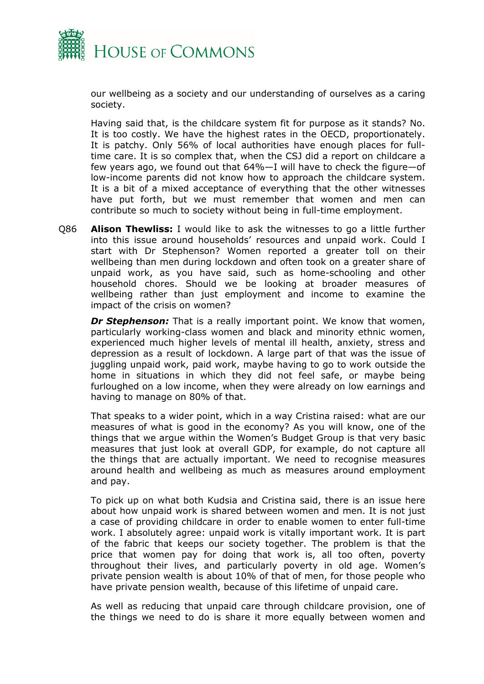

our wellbeing as a society and our understanding of ourselves as a caring society.

Having said that, is the childcare system fit for purpose as it stands? No. It is too costly. We have the highest rates in the OECD, proportionately. It is patchy. Only 56% of local authorities have enough places for fulltime care. It is so complex that, when the CSJ did a report on childcare a few years ago, we found out that 64%—I will have to check the figure—of low-income parents did not know how to approach the childcare system. It is a bit of a mixed acceptance of everything that the other witnesses have put forth, but we must remember that women and men can contribute so much to society without being in full-time employment.

Q86 **Alison Thewliss:** I would like to ask the witnesses to go a little further into this issue around households' resources and unpaid work. Could I start with Dr Stephenson? Women reported a greater toll on their wellbeing than men during lockdown and often took on a greater share of unpaid work, as you have said, such as home-schooling and other household chores. Should we be looking at broader measures of wellbeing rather than just employment and income to examine the impact of the crisis on women?

*Dr Stephenson:* That is a really important point. We know that women, particularly working-class women and black and minority ethnic women, experienced much higher levels of mental ill health, anxiety, stress and depression as a result of lockdown. A large part of that was the issue of juggling unpaid work, paid work, maybe having to go to work outside the home in situations in which they did not feel safe, or maybe being furloughed on a low income, when they were already on low earnings and having to manage on 80% of that.

That speaks to a wider point, which in a way Cristina raised: what are our measures of what is good in the economy? As you will know, one of the things that we argue within the Women's Budget Group is that very basic measures that just look at overall GDP, for example, do not capture all the things that are actually important. We need to recognise measures around health and wellbeing as much as measures around employment and pay.

To pick up on what both Kudsia and Cristina said, there is an issue here about how unpaid work is shared between women and men. It is not just a case of providing childcare in order to enable women to enter full-time work. I absolutely agree: unpaid work is vitally important work. It is part of the fabric that keeps our society together. The problem is that the price that women pay for doing that work is, all too often, poverty throughout their lives, and particularly poverty in old age. Women's private pension wealth is about 10% of that of men, for those people who have private pension wealth, because of this lifetime of unpaid care.

As well as reducing that unpaid care through childcare provision, one of the things we need to do is share it more equally between women and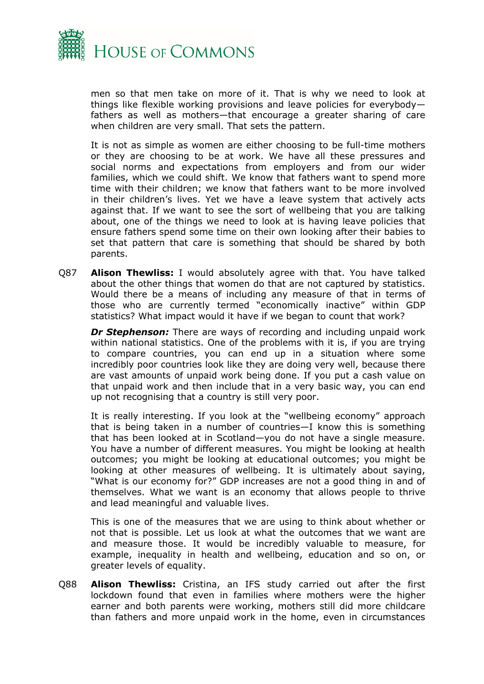

men so that men take on more of it. That is why we need to look at things like flexible working provisions and leave policies for everybody fathers as well as mothers—that encourage a greater sharing of care when children are very small. That sets the pattern.

It is not as simple as women are either choosing to be full-time mothers or they are choosing to be at work. We have all these pressures and social norms and expectations from employers and from our wider families, which we could shift. We know that fathers want to spend more time with their children; we know that fathers want to be more involved in their children's lives. Yet we have a leave system that actively acts against that. If we want to see the sort of wellbeing that you are talking about, one of the things we need to look at is having leave policies that ensure fathers spend some time on their own looking after their babies to set that pattern that care is something that should be shared by both parents.

Q87 **Alison Thewliss:** I would absolutely agree with that. You have talked about the other things that women do that are not captured by statistics. Would there be a means of including any measure of that in terms of those who are currently termed "economically inactive" within GDP statistics? What impact would it have if we began to count that work?

*Dr Stephenson:* There are ways of recording and including unpaid work within national statistics. One of the problems with it is, if you are trying to compare countries, you can end up in a situation where some incredibly poor countries look like they are doing very well, because there are vast amounts of unpaid work being done. If you put a cash value on that unpaid work and then include that in a very basic way, you can end up not recognising that a country is still very poor.

It is really interesting. If you look at the "wellbeing economy" approach that is being taken in a number of countries—I know this is something that has been looked at in Scotland—you do not have a single measure. You have a number of different measures. You might be looking at health outcomes; you might be looking at educational outcomes; you might be looking at other measures of wellbeing. It is ultimately about saying, "What is our economy for?" GDP increases are not a good thing in and of themselves. What we want is an economy that allows people to thrive and lead meaningful and valuable lives.

This is one of the measures that we are using to think about whether or not that is possible. Let us look at what the outcomes that we want are and measure those. It would be incredibly valuable to measure, for example, inequality in health and wellbeing, education and so on, or greater levels of equality.

Q88 **Alison Thewliss:** Cristina, an IFS study carried out after the first lockdown found that even in families where mothers were the higher earner and both parents were working, mothers still did more childcare than fathers and more unpaid work in the home, even in circumstances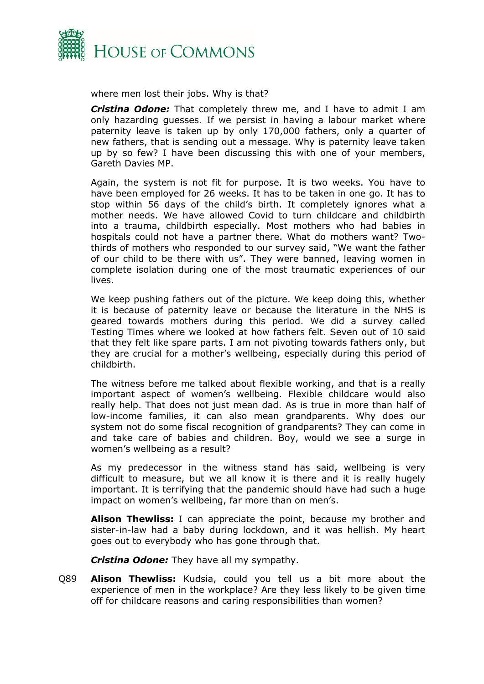

where men lost their jobs. Why is that?

*Cristina Odone:* That completely threw me, and I have to admit I am only hazarding guesses. If we persist in having a labour market where paternity leave is taken up by only 170,000 fathers, only a quarter of new fathers, that is sending out a message. Why is paternity leave taken up by so few? I have been discussing this with one of your members, Gareth Davies MP.

Again, the system is not fit for purpose. It is two weeks. You have to have been employed for 26 weeks. It has to be taken in one go. It has to stop within 56 days of the child's birth. It completely ignores what a mother needs. We have allowed Covid to turn childcare and childbirth into a trauma, childbirth especially. Most mothers who had babies in hospitals could not have a partner there. What do mothers want? Twothirds of mothers who responded to our survey said, "We want the father of our child to be there with us". They were banned, leaving women in complete isolation during one of the most traumatic experiences of our lives.

We keep pushing fathers out of the picture. We keep doing this, whether it is because of paternity leave or because the literature in the NHS is geared towards mothers during this period. We did a survey called Testing Times where we looked at how fathers felt. Seven out of 10 said that they felt like spare parts. I am not pivoting towards fathers only, but they are crucial for a mother's wellbeing, especially during this period of childbirth.

The witness before me talked about flexible working, and that is a really important aspect of women's wellbeing. Flexible childcare would also really help. That does not just mean dad. As is true in more than half of low-income families, it can also mean grandparents. Why does our system not do some fiscal recognition of grandparents? They can come in and take care of babies and children. Boy, would we see a surge in women's wellbeing as a result?

As my predecessor in the witness stand has said, wellbeing is very difficult to measure, but we all know it is there and it is really hugely important. It is terrifying that the pandemic should have had such a huge impact on women's wellbeing, far more than on men's.

**Alison Thewliss:** I can appreciate the point, because my brother and sister-in-law had a baby during lockdown, and it was hellish. My heart goes out to everybody who has gone through that.

*Cristina Odone:* They have all my sympathy.

Q89 **Alison Thewliss:** Kudsia, could you tell us a bit more about the experience of men in the workplace? Are they less likely to be given time off for childcare reasons and caring responsibilities than women?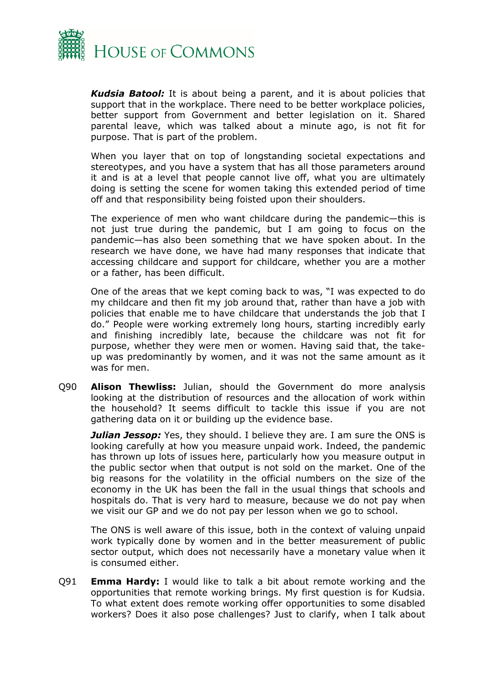

*Kudsia Batool:* It is about being a parent, and it is about policies that support that in the workplace. There need to be better workplace policies, better support from Government and better legislation on it. Shared parental leave, which was talked about a minute ago, is not fit for purpose. That is part of the problem.

When you layer that on top of longstanding societal expectations and stereotypes, and you have a system that has all those parameters around it and is at a level that people cannot live off, what you are ultimately doing is setting the scene for women taking this extended period of time off and that responsibility being foisted upon their shoulders.

The experience of men who want childcare during the pandemic—this is not just true during the pandemic, but I am going to focus on the pandemic—has also been something that we have spoken about. In the research we have done, we have had many responses that indicate that accessing childcare and support for childcare, whether you are a mother or a father, has been difficult.

One of the areas that we kept coming back to was, "I was expected to do my childcare and then fit my job around that, rather than have a job with policies that enable me to have childcare that understands the job that I do." People were working extremely long hours, starting incredibly early and finishing incredibly late, because the childcare was not fit for purpose, whether they were men or women. Having said that, the takeup was predominantly by women, and it was not the same amount as it was for men.

Q90 **Alison Thewliss:** Julian, should the Government do more analysis looking at the distribution of resources and the allocation of work within the household? It seems difficult to tackle this issue if you are not gathering data on it or building up the evidence base.

*Julian Jessop:* Yes, they should. I believe they are. I am sure the ONS is looking carefully at how you measure unpaid work. Indeed, the pandemic has thrown up lots of issues here, particularly how you measure output in the public sector when that output is not sold on the market. One of the big reasons for the volatility in the official numbers on the size of the economy in the UK has been the fall in the usual things that schools and hospitals do. That is very hard to measure, because we do not pay when we visit our GP and we do not pay per lesson when we go to school.

The ONS is well aware of this issue, both in the context of valuing unpaid work typically done by women and in the better measurement of public sector output, which does not necessarily have a monetary value when it is consumed either.

Q91 **Emma Hardy:** I would like to talk a bit about remote working and the opportunities that remote working brings. My first question is for Kudsia. To what extent does remote working offer opportunities to some disabled workers? Does it also pose challenges? Just to clarify, when I talk about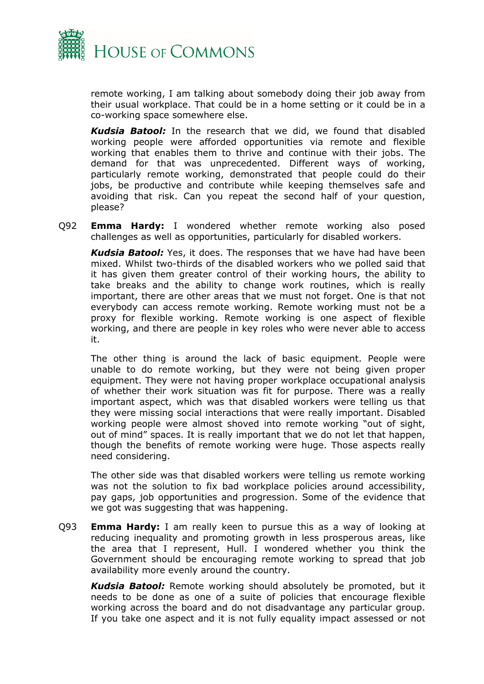

remote working, I am talking about somebody doing their job away from their usual workplace. That could be in a home setting or it could be in a co-working space somewhere else.

*Kudsia Batool:* In the research that we did, we found that disabled working people were afforded opportunities via remote and flexible working that enables them to thrive and continue with their jobs. The demand for that was unprecedented. Different ways of working, particularly remote working, demonstrated that people could do their jobs, be productive and contribute while keeping themselves safe and avoiding that risk. Can you repeat the second half of your question, please?

Q92 **Emma Hardy:** I wondered whether remote working also posed challenges as well as opportunities, particularly for disabled workers.

*Kudsia Batool:* Yes, it does. The responses that we have had have been mixed. Whilst two-thirds of the disabled workers who we polled said that it has given them greater control of their working hours, the ability to take breaks and the ability to change work routines, which is really important, there are other areas that we must not forget. One is that not everybody can access remote working. Remote working must not be a proxy for flexible working. Remote working is one aspect of flexible working, and there are people in key roles who were never able to access it.

The other thing is around the lack of basic equipment. People were unable to do remote working, but they were not being given proper equipment. They were not having proper workplace occupational analysis of whether their work situation was fit for purpose. There was a really important aspect, which was that disabled workers were telling us that they were missing social interactions that were really important. Disabled working people were almost shoved into remote working "out of sight, out of mind" spaces. It is really important that we do not let that happen, though the benefits of remote working were huge. Those aspects really need considering.

The other side was that disabled workers were telling us remote working was not the solution to fix bad workplace policies around accessibility, pay gaps, job opportunities and progression. Some of the evidence that we got was suggesting that was happening.

Q93 **Emma Hardy:** I am really keen to pursue this as a way of looking at reducing inequality and promoting growth in less prosperous areas, like the area that I represent, Hull. I wondered whether you think the Government should be encouraging remote working to spread that job availability more evenly around the country.

*Kudsia Batool:* Remote working should absolutely be promoted, but it needs to be done as one of a suite of policies that encourage flexible working across the board and do not disadvantage any particular group. If you take one aspect and it is not fully equality impact assessed or not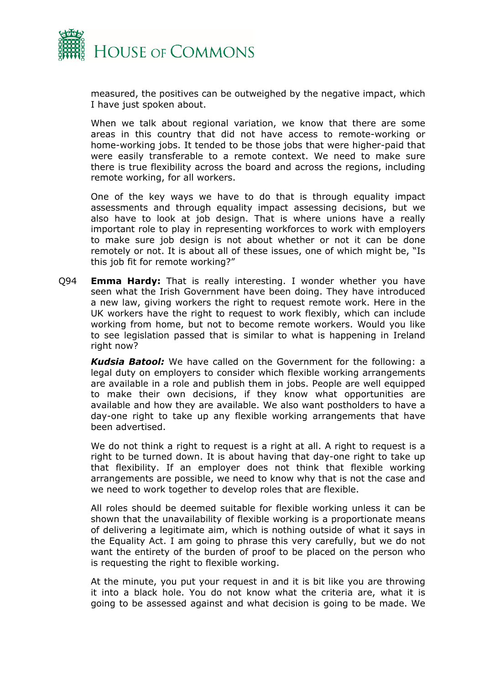

measured, the positives can be outweighed by the negative impact, which I have just spoken about.

When we talk about regional variation, we know that there are some areas in this country that did not have access to remote-working or home-working jobs. It tended to be those jobs that were higher-paid that were easily transferable to a remote context. We need to make sure there is true flexibility across the board and across the regions, including remote working, for all workers.

One of the key ways we have to do that is through equality impact assessments and through equality impact assessing decisions, but we also have to look at job design. That is where unions have a really important role to play in representing workforces to work with employers to make sure job design is not about whether or not it can be done remotely or not. It is about all of these issues, one of which might be, "Is this job fit for remote working?"

Q94 **Emma Hardy:** That is really interesting. I wonder whether you have seen what the Irish Government have been doing. They have introduced a new law, giving workers the right to request remote work. Here in the UK workers have the right to request to work flexibly, which can include working from home, but not to become remote workers. Would you like to see legislation passed that is similar to what is happening in Ireland right now?

*Kudsia Batool:* We have called on the Government for the following: a legal duty on employers to consider which flexible working arrangements are available in a role and publish them in jobs. People are well equipped to make their own decisions, if they know what opportunities are available and how they are available. We also want postholders to have a day-one right to take up any flexible working arrangements that have been advertised.

We do not think a right to request is a right at all. A right to request is a right to be turned down. It is about having that day-one right to take up that flexibility. If an employer does not think that flexible working arrangements are possible, we need to know why that is not the case and we need to work together to develop roles that are flexible.

All roles should be deemed suitable for flexible working unless it can be shown that the unavailability of flexible working is a proportionate means of delivering a legitimate aim, which is nothing outside of what it says in the Equality Act. I am going to phrase this very carefully, but we do not want the entirety of the burden of proof to be placed on the person who is requesting the right to flexible working.

At the minute, you put your request in and it is bit like you are throwing it into a black hole. You do not know what the criteria are, what it is going to be assessed against and what decision is going to be made. We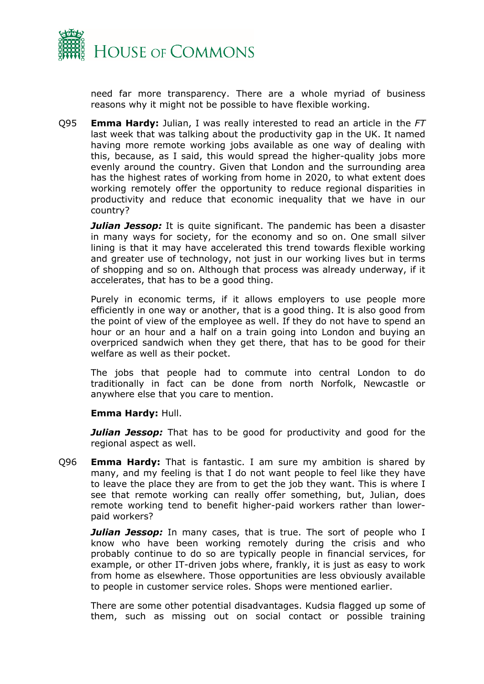

need far more transparency. There are a whole myriad of business reasons why it might not be possible to have flexible working.

Q95 **Emma Hardy:** Julian, I was really interested to read an article in the *FT* last week that was talking about the productivity gap in the UK. It named having more remote working jobs available as one way of dealing with this, because, as I said, this would spread the higher-quality jobs more evenly around the country. Given that London and the surrounding area has the highest rates of working from home in 2020, to what extent does working remotely offer the opportunity to reduce regional disparities in productivity and reduce that economic inequality that we have in our country?

*Julian Jessop:* It is quite significant. The pandemic has been a disaster in many ways for society, for the economy and so on. One small silver lining is that it may have accelerated this trend towards flexible working and greater use of technology, not just in our working lives but in terms of shopping and so on. Although that process was already underway, if it accelerates, that has to be a good thing.

Purely in economic terms, if it allows employers to use people more efficiently in one way or another, that is a good thing. It is also good from the point of view of the employee as well. If they do not have to spend an hour or an hour and a half on a train going into London and buying an overpriced sandwich when they get there, that has to be good for their welfare as well as their pocket.

The jobs that people had to commute into central London to do traditionally in fact can be done from north Norfolk, Newcastle or anywhere else that you care to mention.

#### **Emma Hardy:** Hull.

*Julian Jessop:* That has to be good for productivity and good for the regional aspect as well.

Q96 **Emma Hardy:** That is fantastic. I am sure my ambition is shared by many, and my feeling is that I do not want people to feel like they have to leave the place they are from to get the job they want. This is where I see that remote working can really offer something, but, Julian, does remote working tend to benefit higher-paid workers rather than lowerpaid workers?

*Julian Jessop:* In many cases, that is true. The sort of people who I know who have been working remotely during the crisis and who probably continue to do so are typically people in financial services, for example, or other IT-driven jobs where, frankly, it is just as easy to work from home as elsewhere. Those opportunities are less obviously available to people in customer service roles. Shops were mentioned earlier.

There are some other potential disadvantages. Kudsia flagged up some of them, such as missing out on social contact or possible training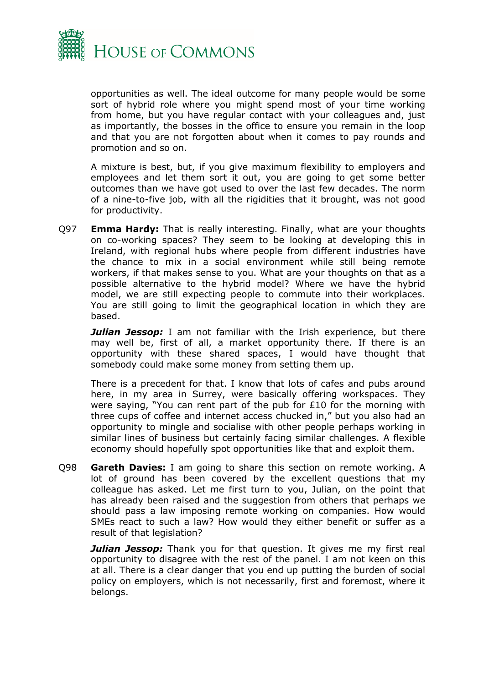

opportunities as well. The ideal outcome for many people would be some sort of hybrid role where you might spend most of your time working from home, but you have regular contact with your colleagues and, just as importantly, the bosses in the office to ensure you remain in the loop and that you are not forgotten about when it comes to pay rounds and promotion and so on.

A mixture is best, but, if you give maximum flexibility to employers and employees and let them sort it out, you are going to get some better outcomes than we have got used to over the last few decades. The norm of a nine-to-five job, with all the rigidities that it brought, was not good for productivity.

Q97 **Emma Hardy:** That is really interesting. Finally, what are your thoughts on co-working spaces? They seem to be looking at developing this in Ireland, with regional hubs where people from different industries have the chance to mix in a social environment while still being remote workers, if that makes sense to you. What are your thoughts on that as a possible alternative to the hybrid model? Where we have the hybrid model, we are still expecting people to commute into their workplaces. You are still going to limit the geographical location in which they are based.

*Julian Jessop:* I am not familiar with the Irish experience, but there may well be, first of all, a market opportunity there. If there is an opportunity with these shared spaces, I would have thought that somebody could make some money from setting them up.

There is a precedent for that. I know that lots of cafes and pubs around here, in my area in Surrey, were basically offering workspaces. They were saying, "You can rent part of the pub for £10 for the morning with three cups of coffee and internet access chucked in," but you also had an opportunity to mingle and socialise with other people perhaps working in similar lines of business but certainly facing similar challenges. A flexible economy should hopefully spot opportunities like that and exploit them.

Q98 **Gareth Davies:** I am going to share this section on remote working. A lot of ground has been covered by the excellent questions that my colleague has asked. Let me first turn to you, Julian, on the point that has already been raised and the suggestion from others that perhaps we should pass a law imposing remote working on companies. How would SMEs react to such a law? How would they either benefit or suffer as a result of that legislation?

*Julian Jessop:* Thank you for that question. It gives me my first real opportunity to disagree with the rest of the panel. I am not keen on this at all. There is a clear danger that you end up putting the burden of social policy on employers, which is not necessarily, first and foremost, where it belongs.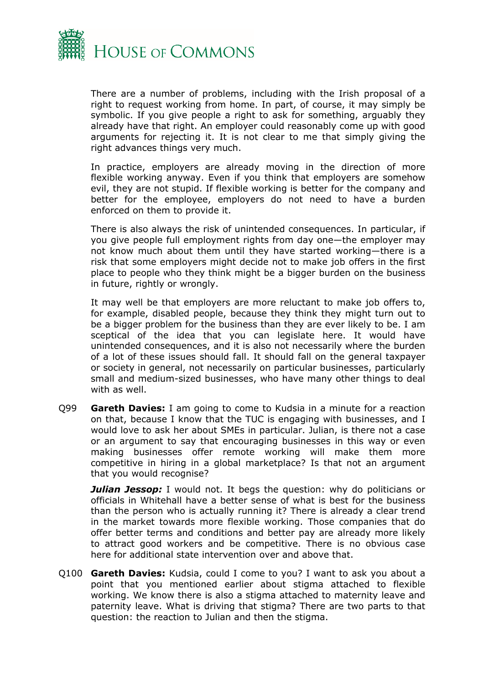

There are a number of problems, including with the Irish proposal of a right to request working from home. In part, of course, it may simply be symbolic. If you give people a right to ask for something, arguably they already have that right. An employer could reasonably come up with good arguments for rejecting it. It is not clear to me that simply giving the right advances things very much.

In practice, employers are already moving in the direction of more flexible working anyway. Even if you think that employers are somehow evil, they are not stupid. If flexible working is better for the company and better for the employee, employers do not need to have a burden enforced on them to provide it.

There is also always the risk of unintended consequences. In particular, if you give people full employment rights from day one—the employer may not know much about them until they have started working—there is a risk that some employers might decide not to make job offers in the first place to people who they think might be a bigger burden on the business in future, rightly or wrongly.

It may well be that employers are more reluctant to make job offers to, for example, disabled people, because they think they might turn out to be a bigger problem for the business than they are ever likely to be. I am sceptical of the idea that you can legislate here. It would have unintended consequences, and it is also not necessarily where the burden of a lot of these issues should fall. It should fall on the general taxpayer or society in general, not necessarily on particular businesses, particularly small and medium-sized businesses, who have many other things to deal with as well.

Q99 **Gareth Davies:** I am going to come to Kudsia in a minute for a reaction on that, because I know that the TUC is engaging with businesses, and I would love to ask her about SMEs in particular. Julian, is there not a case or an argument to say that encouraging businesses in this way or even making businesses offer remote working will make them more competitive in hiring in a global marketplace? Is that not an argument that you would recognise?

*Julian Jessop:* I would not. It begs the question: why do politicians or officials in Whitehall have a better sense of what is best for the business than the person who is actually running it? There is already a clear trend in the market towards more flexible working. Those companies that do offer better terms and conditions and better pay are already more likely to attract good workers and be competitive. There is no obvious case here for additional state intervention over and above that.

Q100 **Gareth Davies:** Kudsia, could I come to you? I want to ask you about a point that you mentioned earlier about stigma attached to flexible working. We know there is also a stigma attached to maternity leave and paternity leave. What is driving that stigma? There are two parts to that question: the reaction to Julian and then the stigma.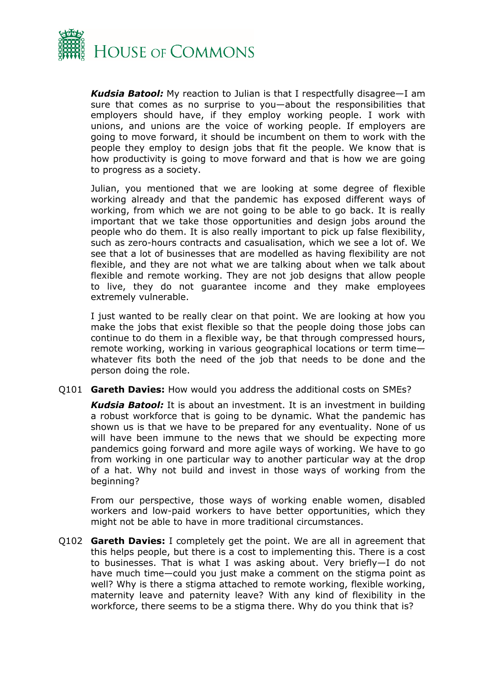

*Kudsia Batool:* My reaction to Julian is that I respectfully disagree—I am sure that comes as no surprise to you—about the responsibilities that employers should have, if they employ working people. I work with unions, and unions are the voice of working people. If employers are going to move forward, it should be incumbent on them to work with the people they employ to design jobs that fit the people. We know that is how productivity is going to move forward and that is how we are going to progress as a society.

Julian, you mentioned that we are looking at some degree of flexible working already and that the pandemic has exposed different ways of working, from which we are not going to be able to go back. It is really important that we take those opportunities and design jobs around the people who do them. It is also really important to pick up false flexibility, such as zero-hours contracts and casualisation, which we see a lot of. We see that a lot of businesses that are modelled as having flexibility are not flexible, and they are not what we are talking about when we talk about flexible and remote working. They are not job designs that allow people to live, they do not guarantee income and they make employees extremely vulnerable.

I just wanted to be really clear on that point. We are looking at how you make the jobs that exist flexible so that the people doing those jobs can continue to do them in a flexible way, be that through compressed hours, remote working, working in various geographical locations or term time whatever fits both the need of the job that needs to be done and the person doing the role.

Q101 **Gareth Davies:** How would you address the additional costs on SMEs?

*Kudsia Batool:* It is about an investment. It is an investment in building a robust workforce that is going to be dynamic. What the pandemic has shown us is that we have to be prepared for any eventuality. None of us will have been immune to the news that we should be expecting more pandemics going forward and more agile ways of working. We have to go from working in one particular way to another particular way at the drop of a hat. Why not build and invest in those ways of working from the beginning?

From our perspective, those ways of working enable women, disabled workers and low-paid workers to have better opportunities, which they might not be able to have in more traditional circumstances.

Q102 **Gareth Davies:** I completely get the point. We are all in agreement that this helps people, but there is a cost to implementing this. There is a cost to businesses. That is what I was asking about. Very briefly—I do not have much time—could you just make a comment on the stigma point as well? Why is there a stigma attached to remote working, flexible working, maternity leave and paternity leave? With any kind of flexibility in the workforce, there seems to be a stigma there. Why do you think that is?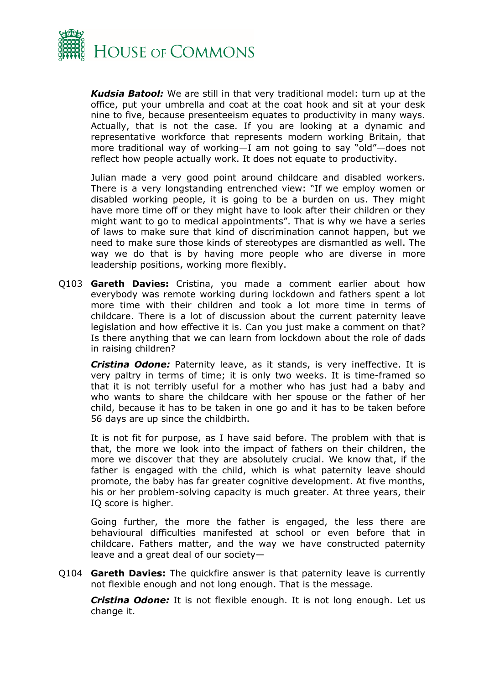

*Kudsia Batool:* We are still in that very traditional model: turn up at the office, put your umbrella and coat at the coat hook and sit at your desk nine to five, because presenteeism equates to productivity in many ways. Actually, that is not the case. If you are looking at a dynamic and representative workforce that represents modern working Britain, that more traditional way of working—I am not going to say "old"—does not reflect how people actually work. It does not equate to productivity.

Julian made a very good point around childcare and disabled workers. There is a very longstanding entrenched view: "If we employ women or disabled working people, it is going to be a burden on us. They might have more time off or they might have to look after their children or they might want to go to medical appointments". That is why we have a series of laws to make sure that kind of discrimination cannot happen, but we need to make sure those kinds of stereotypes are dismantled as well. The way we do that is by having more people who are diverse in more leadership positions, working more flexibly.

Q103 **Gareth Davies:** Cristina, you made a comment earlier about how everybody was remote working during lockdown and fathers spent a lot more time with their children and took a lot more time in terms of childcare. There is a lot of discussion about the current paternity leave legislation and how effective it is. Can you just make a comment on that? Is there anything that we can learn from lockdown about the role of dads in raising children?

*Cristina Odone:* Paternity leave, as it stands, is very ineffective. It is very paltry in terms of time; it is only two weeks. It is time-framed so that it is not terribly useful for a mother who has just had a baby and who wants to share the childcare with her spouse or the father of her child, because it has to be taken in one go and it has to be taken before 56 days are up since the childbirth.

It is not fit for purpose, as I have said before. The problem with that is that, the more we look into the impact of fathers on their children, the more we discover that they are absolutely crucial. We know that, if the father is engaged with the child, which is what paternity leave should promote, the baby has far greater cognitive development. At five months, his or her problem-solving capacity is much greater. At three years, their IQ score is higher.

Going further, the more the father is engaged, the less there are behavioural difficulties manifested at school or even before that in childcare. Fathers matter, and the way we have constructed paternity leave and a great deal of our society—

Q104 **Gareth Davies:** The quickfire answer is that paternity leave is currently not flexible enough and not long enough. That is the message.

*Cristina Odone:* It is not flexible enough. It is not long enough. Let us change it.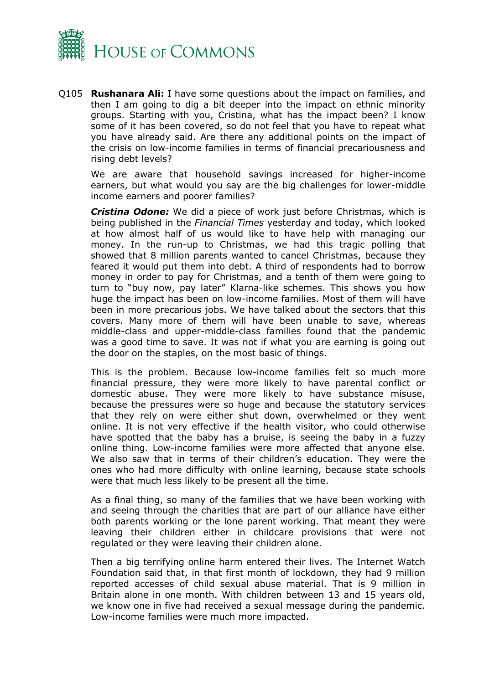

Q105 **Rushanara Ali:** I have some questions about the impact on families, and then I am going to dig a bit deeper into the impact on ethnic minority groups. Starting with you, Cristina, what has the impact been? I know some of it has been covered, so do not feel that you have to repeat what you have already said. Are there any additional points on the impact of the crisis on low-income families in terms of financial precariousness and rising debt levels?

We are aware that household savings increased for higher-income earners, but what would you say are the big challenges for lower-middle income earners and poorer families?

*Cristina Odone:* We did a piece of work just before Christmas, which is being published in the *Financial Times* yesterday and today, which looked at how almost half of us would like to have help with managing our money. In the run-up to Christmas, we had this tragic polling that showed that 8 million parents wanted to cancel Christmas, because they feared it would put them into debt. A third of respondents had to borrow money in order to pay for Christmas, and a tenth of them were going to turn to "buy now, pay later" Klarna-like schemes. This shows you how huge the impact has been on low-income families. Most of them will have been in more precarious jobs. We have talked about the sectors that this covers. Many more of them will have been unable to save, whereas middle-class and upper-middle-class families found that the pandemic was a good time to save. It was not if what you are earning is going out the door on the staples, on the most basic of things.

This is the problem. Because low-income families felt so much more financial pressure, they were more likely to have parental conflict or domestic abuse. They were more likely to have substance misuse, because the pressures were so huge and because the statutory services that they rely on were either shut down, overwhelmed or they went online. It is not very effective if the health visitor, who could otherwise have spotted that the baby has a bruise, is seeing the baby in a fuzzy online thing. Low-income families were more affected that anyone else. We also saw that in terms of their children's education. They were the ones who had more difficulty with online learning, because state schools were that much less likely to be present all the time.

As a final thing, so many of the families that we have been working with and seeing through the charities that are part of our alliance have either both parents working or the lone parent working. That meant they were leaving their children either in childcare provisions that were not regulated or they were leaving their children alone.

Then a big terrifying online harm entered their lives. The Internet Watch Foundation said that, in that first month of lockdown, they had 9 million reported accesses of child sexual abuse material. That is 9 million in Britain alone in one month. With children between 13 and 15 years old, we know one in five had received a sexual message during the pandemic. Low-income families were much more impacted.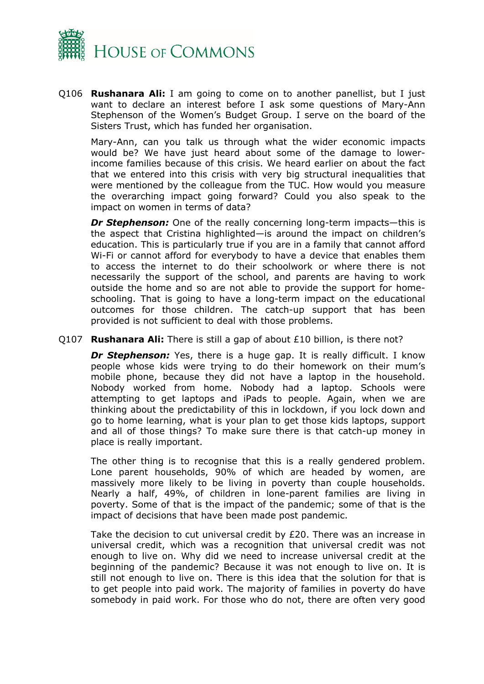

Q106 **Rushanara Ali:** I am going to come on to another panellist, but I just want to declare an interest before I ask some questions of Mary-Ann Stephenson of the Women's Budget Group. I serve on the board of the Sisters Trust, which has funded her organisation.

Mary-Ann, can you talk us through what the wider economic impacts would be? We have just heard about some of the damage to lowerincome families because of this crisis. We heard earlier on about the fact that we entered into this crisis with very big structural inequalities that were mentioned by the colleague from the TUC. How would you measure the overarching impact going forward? Could you also speak to the impact on women in terms of data?

*Dr Stephenson:* One of the really concerning long-term impacts—this is the aspect that Cristina highlighted—is around the impact on children's education. This is particularly true if you are in a family that cannot afford Wi-Fi or cannot afford for everybody to have a device that enables them to access the internet to do their schoolwork or where there is not necessarily the support of the school, and parents are having to work outside the home and so are not able to provide the support for homeschooling. That is going to have a long-term impact on the educational outcomes for those children. The catch-up support that has been provided is not sufficient to deal with those problems.

## Q107 **Rushanara Ali:** There is still a gap of about £10 billion, is there not?

*Dr Stephenson:* Yes, there is a huge gap. It is really difficult. I know people whose kids were trying to do their homework on their mum's mobile phone, because they did not have a laptop in the household. Nobody worked from home. Nobody had a laptop. Schools were attempting to get laptops and iPads to people. Again, when we are thinking about the predictability of this in lockdown, if you lock down and go to home learning, what is your plan to get those kids laptops, support and all of those things? To make sure there is that catch-up money in place is really important.

The other thing is to recognise that this is a really gendered problem. Lone parent households, 90% of which are headed by women, are massively more likely to be living in poverty than couple households. Nearly a half, 49%, of children in lone-parent families are living in poverty. Some of that is the impact of the pandemic; some of that is the impact of decisions that have been made post pandemic.

Take the decision to cut universal credit by £20. There was an increase in universal credit, which was a recognition that universal credit was not enough to live on. Why did we need to increase universal credit at the beginning of the pandemic? Because it was not enough to live on. It is still not enough to live on. There is this idea that the solution for that is to get people into paid work. The majority of families in poverty do have somebody in paid work. For those who do not, there are often very good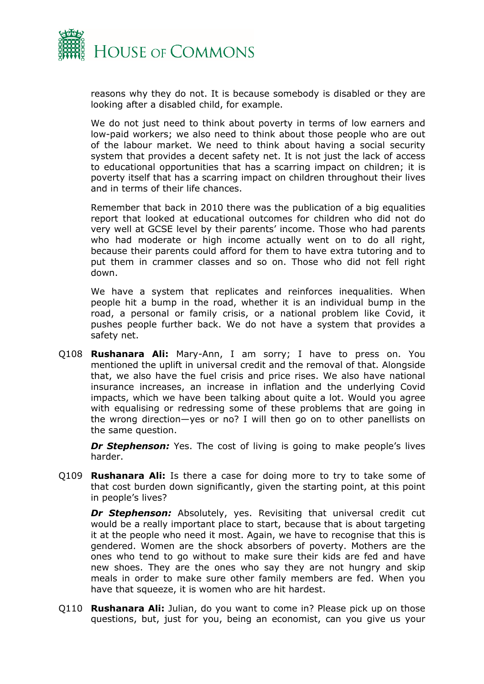

reasons why they do not. It is because somebody is disabled or they are looking after a disabled child, for example.

We do not just need to think about poverty in terms of low earners and low-paid workers; we also need to think about those people who are out of the labour market. We need to think about having a social security system that provides a decent safety net. It is not just the lack of access to educational opportunities that has a scarring impact on children; it is poverty itself that has a scarring impact on children throughout their lives and in terms of their life chances.

Remember that back in 2010 there was the publication of a big equalities report that looked at educational outcomes for children who did not do very well at GCSE level by their parents' income. Those who had parents who had moderate or high income actually went on to do all right, because their parents could afford for them to have extra tutoring and to put them in crammer classes and so on. Those who did not fell right down.

We have a system that replicates and reinforces inequalities. When people hit a bump in the road, whether it is an individual bump in the road, a personal or family crisis, or a national problem like Covid, it pushes people further back. We do not have a system that provides a safety net.

Q108 **Rushanara Ali:** Mary-Ann, I am sorry; I have to press on. You mentioned the uplift in universal credit and the removal of that. Alongside that, we also have the fuel crisis and price rises. We also have national insurance increases, an increase in inflation and the underlying Covid impacts, which we have been talking about quite a lot. Would you agree with equalising or redressing some of these problems that are going in the wrong direction—yes or no? I will then go on to other panellists on the same question.

*Dr Stephenson:* Yes. The cost of living is going to make people's lives harder.

Q109 **Rushanara Ali:** Is there a case for doing more to try to take some of that cost burden down significantly, given the starting point, at this point in people's lives?

*Dr Stephenson:* Absolutely, yes. Revisiting that universal credit cut would be a really important place to start, because that is about targeting it at the people who need it most. Again, we have to recognise that this is gendered. Women are the shock absorbers of poverty. Mothers are the ones who tend to go without to make sure their kids are fed and have new shoes. They are the ones who say they are not hungry and skip meals in order to make sure other family members are fed. When you have that squeeze, it is women who are hit hardest.

Q110 **Rushanara Ali:** Julian, do you want to come in? Please pick up on those questions, but, just for you, being an economist, can you give us your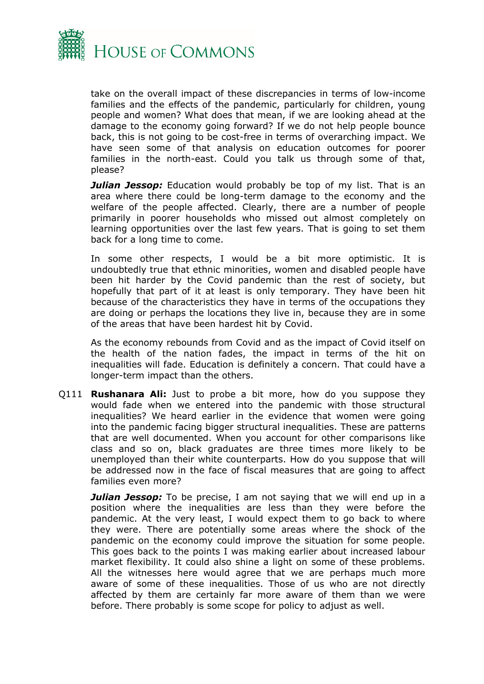

take on the overall impact of these discrepancies in terms of low-income families and the effects of the pandemic, particularly for children, young people and women? What does that mean, if we are looking ahead at the damage to the economy going forward? If we do not help people bounce back, this is not going to be cost-free in terms of overarching impact. We have seen some of that analysis on education outcomes for poorer families in the north-east. Could you talk us through some of that, please?

*Julian Jessop:* Education would probably be top of my list. That is an area where there could be long-term damage to the economy and the welfare of the people affected. Clearly, there are a number of people primarily in poorer households who missed out almost completely on learning opportunities over the last few years. That is going to set them back for a long time to come.

In some other respects, I would be a bit more optimistic. It is undoubtedly true that ethnic minorities, women and disabled people have been hit harder by the Covid pandemic than the rest of society, but hopefully that part of it at least is only temporary. They have been hit because of the characteristics they have in terms of the occupations they are doing or perhaps the locations they live in, because they are in some of the areas that have been hardest hit by Covid.

As the economy rebounds from Covid and as the impact of Covid itself on the health of the nation fades, the impact in terms of the hit on inequalities will fade. Education is definitely a concern. That could have a longer-term impact than the others.

Q111 **Rushanara Ali:** Just to probe a bit more, how do you suppose they would fade when we entered into the pandemic with those structural inequalities? We heard earlier in the evidence that women were going into the pandemic facing bigger structural inequalities. These are patterns that are well documented. When you account for other comparisons like class and so on, black graduates are three times more likely to be unemployed than their white counterparts. How do you suppose that will be addressed now in the face of fiscal measures that are going to affect families even more?

*Julian Jessop:* To be precise, I am not saying that we will end up in a position where the inequalities are less than they were before the pandemic. At the very least, I would expect them to go back to where they were. There are potentially some areas where the shock of the pandemic on the economy could improve the situation for some people. This goes back to the points I was making earlier about increased labour market flexibility. It could also shine a light on some of these problems. All the witnesses here would agree that we are perhaps much more aware of some of these inequalities. Those of us who are not directly affected by them are certainly far more aware of them than we were before. There probably is some scope for policy to adjust as well.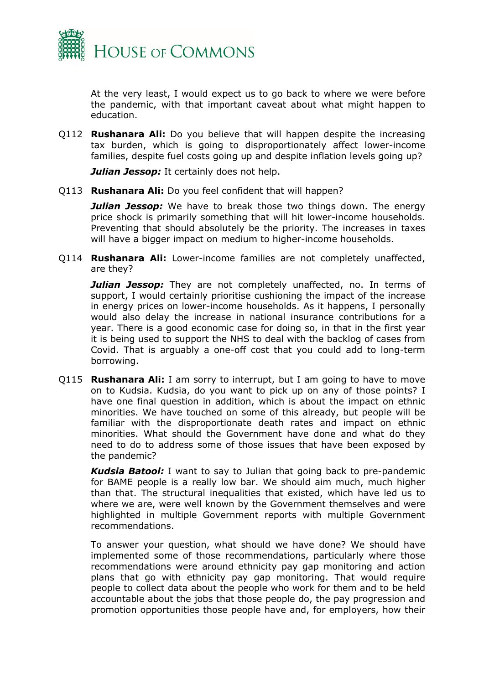

At the very least, I would expect us to go back to where we were before the pandemic, with that important caveat about what might happen to education.

Q112 **Rushanara Ali:** Do you believe that will happen despite the increasing tax burden, which is going to disproportionately affect lower-income families, despite fuel costs going up and despite inflation levels going up?

*Julian Jessop:* It certainly does not help.

Q113 **Rushanara Ali:** Do you feel confident that will happen?

*Julian Jessop:* We have to break those two things down. The energy price shock is primarily something that will hit lower-income households. Preventing that should absolutely be the priority. The increases in taxes will have a bigger impact on medium to higher-income households.

Q114 **Rushanara Ali:** Lower-income families are not completely unaffected, are they?

*Julian Jessop:* They are not completely unaffected, no. In terms of support, I would certainly prioritise cushioning the impact of the increase in energy prices on lower-income households. As it happens, I personally would also delay the increase in national insurance contributions for a year. There is a good economic case for doing so, in that in the first year it is being used to support the NHS to deal with the backlog of cases from Covid. That is arguably a one-off cost that you could add to long-term borrowing.

Q115 **Rushanara Ali:** I am sorry to interrupt, but I am going to have to move on to Kudsia. Kudsia, do you want to pick up on any of those points? I have one final question in addition, which is about the impact on ethnic minorities. We have touched on some of this already, but people will be familiar with the disproportionate death rates and impact on ethnic minorities. What should the Government have done and what do they need to do to address some of those issues that have been exposed by the pandemic?

*Kudsia Batool:* I want to say to Julian that going back to pre-pandemic for BAME people is a really low bar. We should aim much, much higher than that. The structural inequalities that existed, which have led us to where we are, were well known by the Government themselves and were highlighted in multiple Government reports with multiple Government recommendations.

To answer your question, what should we have done? We should have implemented some of those recommendations, particularly where those recommendations were around ethnicity pay gap monitoring and action plans that go with ethnicity pay gap monitoring. That would require people to collect data about the people who work for them and to be held accountable about the jobs that those people do, the pay progression and promotion opportunities those people have and, for employers, how their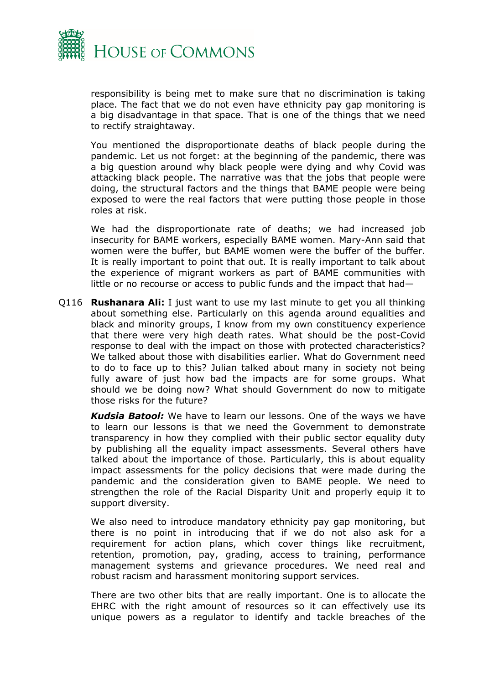

responsibility is being met to make sure that no discrimination is taking place. The fact that we do not even have ethnicity pay gap monitoring is a big disadvantage in that space. That is one of the things that we need to rectify straightaway.

You mentioned the disproportionate deaths of black people during the pandemic. Let us not forget: at the beginning of the pandemic, there was a big question around why black people were dying and why Covid was attacking black people. The narrative was that the jobs that people were doing, the structural factors and the things that BAME people were being exposed to were the real factors that were putting those people in those roles at risk.

We had the disproportionate rate of deaths; we had increased job insecurity for BAME workers, especially BAME women. Mary-Ann said that women were the buffer, but BAME women were the buffer of the buffer. It is really important to point that out. It is really important to talk about the experience of migrant workers as part of BAME communities with little or no recourse or access to public funds and the impact that had—

Q116 **Rushanara Ali:** I just want to use my last minute to get you all thinking about something else. Particularly on this agenda around equalities and black and minority groups, I know from my own constituency experience that there were very high death rates. What should be the post-Covid response to deal with the impact on those with protected characteristics? We talked about those with disabilities earlier. What do Government need to do to face up to this? Julian talked about many in society not being fully aware of just how bad the impacts are for some groups. What should we be doing now? What should Government do now to mitigate those risks for the future?

*Kudsia Batool:* We have to learn our lessons. One of the ways we have to learn our lessons is that we need the Government to demonstrate transparency in how they complied with their public sector equality duty by publishing all the equality impact assessments. Several others have talked about the importance of those. Particularly, this is about equality impact assessments for the policy decisions that were made during the pandemic and the consideration given to BAME people. We need to strengthen the role of the Racial Disparity Unit and properly equip it to support diversity.

We also need to introduce mandatory ethnicity pay gap monitoring, but there is no point in introducing that if we do not also ask for a requirement for action plans, which cover things like recruitment, retention, promotion, pay, grading, access to training, performance management systems and grievance procedures. We need real and robust racism and harassment monitoring support services.

There are two other bits that are really important. One is to allocate the EHRC with the right amount of resources so it can effectively use its unique powers as a regulator to identify and tackle breaches of the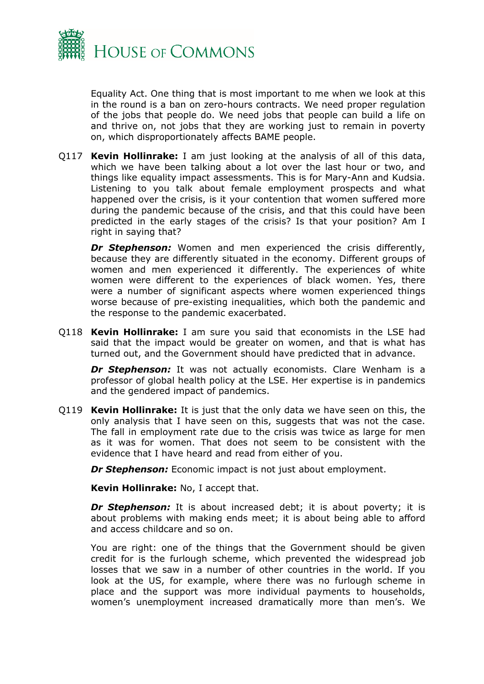

Equality Act. One thing that is most important to me when we look at this in the round is a ban on zero-hours contracts. We need proper regulation of the jobs that people do. We need jobs that people can build a life on and thrive on, not jobs that they are working just to remain in poverty on, which disproportionately affects BAME people.

Q117 **Kevin Hollinrake:** I am just looking at the analysis of all of this data, which we have been talking about a lot over the last hour or two, and things like equality impact assessments. This is for Mary-Ann and Kudsia. Listening to you talk about female employment prospects and what happened over the crisis, is it your contention that women suffered more during the pandemic because of the crisis, and that this could have been predicted in the early stages of the crisis? Is that your position? Am I right in saying that?

**Dr Stephenson:** Women and men experienced the crisis differently, because they are differently situated in the economy. Different groups of women and men experienced it differently. The experiences of white women were different to the experiences of black women. Yes, there were a number of significant aspects where women experienced things worse because of pre-existing inequalities, which both the pandemic and the response to the pandemic exacerbated.

Q118 **Kevin Hollinrake:** I am sure you said that economists in the LSE had said that the impact would be greater on women, and that is what has turned out, and the Government should have predicted that in advance.

*Dr Stephenson:* It was not actually economists. Clare Wenham is a professor of global health policy at the LSE. Her expertise is in pandemics and the gendered impact of pandemics.

Q119 **Kevin Hollinrake:** It is just that the only data we have seen on this, the only analysis that I have seen on this, suggests that was not the case. The fall in employment rate due to the crisis was twice as large for men as it was for women. That does not seem to be consistent with the evidence that I have heard and read from either of you.

*Dr Stephenson:* Economic impact is not just about employment.

**Kevin Hollinrake:** No, I accept that.

**Dr Stephenson:** It is about increased debt; it is about poverty; it is about problems with making ends meet; it is about being able to afford and access childcare and so on.

You are right: one of the things that the Government should be given credit for is the furlough scheme, which prevented the widespread job losses that we saw in a number of other countries in the world. If you look at the US, for example, where there was no furlough scheme in place and the support was more individual payments to households, women's unemployment increased dramatically more than men's. We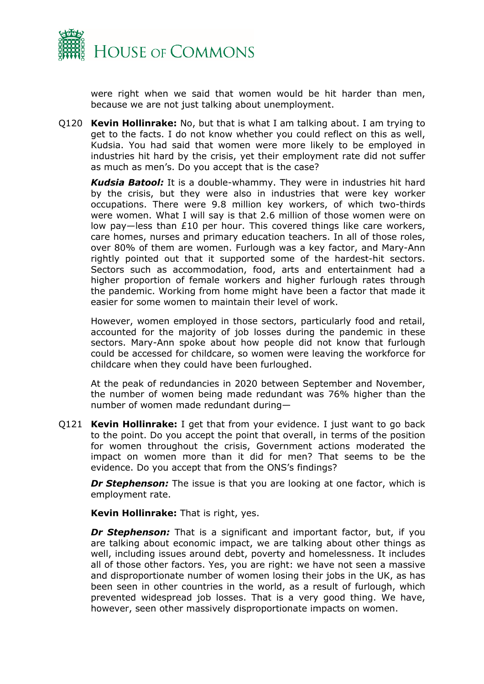

were right when we said that women would be hit harder than men, because we are not just talking about unemployment.

Q120 **Kevin Hollinrake:** No, but that is what I am talking about. I am trying to get to the facts. I do not know whether you could reflect on this as well, Kudsia. You had said that women were more likely to be employed in industries hit hard by the crisis, yet their employment rate did not suffer as much as men's. Do you accept that is the case?

*Kudsia Batool:* It is a double-whammy. They were in industries hit hard by the crisis, but they were also in industries that were key worker occupations. There were 9.8 million key workers, of which two-thirds were women. What I will say is that 2.6 million of those women were on low pay—less than £10 per hour. This covered things like care workers, care homes, nurses and primary education teachers. In all of those roles, over 80% of them are women. Furlough was a key factor, and Mary-Ann rightly pointed out that it supported some of the hardest-hit sectors. Sectors such as accommodation, food, arts and entertainment had a higher proportion of female workers and higher furlough rates through the pandemic. Working from home might have been a factor that made it easier for some women to maintain their level of work.

However, women employed in those sectors, particularly food and retail, accounted for the majority of job losses during the pandemic in these sectors. Mary-Ann spoke about how people did not know that furlough could be accessed for childcare, so women were leaving the workforce for childcare when they could have been furloughed.

At the peak of redundancies in 2020 between September and November, the number of women being made redundant was 76% higher than the number of women made redundant during—

Q121 **Kevin Hollinrake:** I get that from your evidence. I just want to go back to the point. Do you accept the point that overall, in terms of the position for women throughout the crisis, Government actions moderated the impact on women more than it did for men? That seems to be the evidence. Do you accept that from the ONS's findings?

**Dr Stephenson:** The issue is that you are looking at one factor, which is employment rate.

**Kevin Hollinrake:** That is right, yes.

**Dr Stephenson:** That is a significant and important factor, but, if you are talking about economic impact, we are talking about other things as well, including issues around debt, poverty and homelessness. It includes all of those other factors. Yes, you are right: we have not seen a massive and disproportionate number of women losing their jobs in the UK, as has been seen in other countries in the world, as a result of furlough, which prevented widespread job losses. That is a very good thing. We have, however, seen other massively disproportionate impacts on women.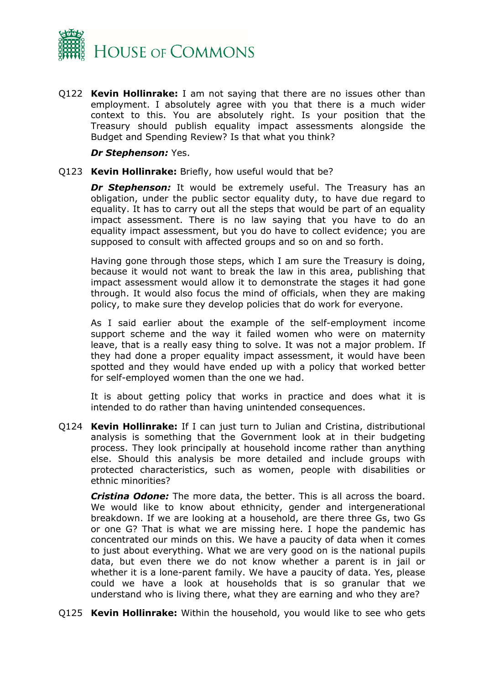

Q122 **Kevin Hollinrake:** I am not saying that there are no issues other than employment. I absolutely agree with you that there is a much wider context to this. You are absolutely right. Is your position that the Treasury should publish equality impact assessments alongside the Budget and Spending Review? Is that what you think?

*Dr Stephenson:* Yes.

## Q123 **Kevin Hollinrake:** Briefly, how useful would that be?

**Dr Stephenson:** It would be extremely useful. The Treasury has an obligation, under the public sector equality duty, to have due regard to equality. It has to carry out all the steps that would be part of an equality impact assessment. There is no law saying that you have to do an equality impact assessment, but you do have to collect evidence; you are supposed to consult with affected groups and so on and so forth.

Having gone through those steps, which I am sure the Treasury is doing, because it would not want to break the law in this area, publishing that impact assessment would allow it to demonstrate the stages it had gone through. It would also focus the mind of officials, when they are making policy, to make sure they develop policies that do work for everyone.

As I said earlier about the example of the self-employment income support scheme and the way it failed women who were on maternity leave, that is a really easy thing to solve. It was not a major problem. If they had done a proper equality impact assessment, it would have been spotted and they would have ended up with a policy that worked better for self-employed women than the one we had.

It is about getting policy that works in practice and does what it is intended to do rather than having unintended consequences.

Q124 **Kevin Hollinrake:** If I can just turn to Julian and Cristina, distributional analysis is something that the Government look at in their budgeting process. They look principally at household income rather than anything else. Should this analysis be more detailed and include groups with protected characteristics, such as women, people with disabilities or ethnic minorities?

*Cristina Odone:* The more data, the better. This is all across the board. We would like to know about ethnicity, gender and intergenerational breakdown. If we are looking at a household, are there three Gs, two Gs or one G? That is what we are missing here. I hope the pandemic has concentrated our minds on this. We have a paucity of data when it comes to just about everything. What we are very good on is the national pupils data, but even there we do not know whether a parent is in jail or whether it is a lone-parent family. We have a paucity of data. Yes, please could we have a look at households that is so granular that we understand who is living there, what they are earning and who they are?

Q125 **Kevin Hollinrake:** Within the household, you would like to see who gets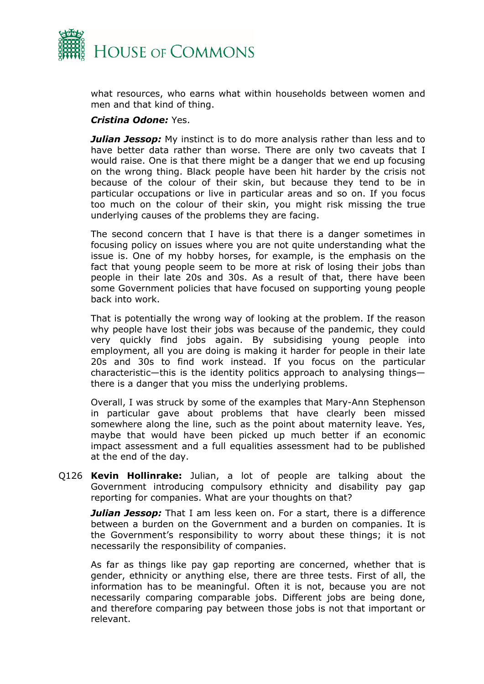

what resources, who earns what within households between women and men and that kind of thing.

## *Cristina Odone:* Yes.

*Julian Jessop:* My instinct is to do more analysis rather than less and to have better data rather than worse. There are only two caveats that I would raise. One is that there might be a danger that we end up focusing on the wrong thing. Black people have been hit harder by the crisis not because of the colour of their skin, but because they tend to be in particular occupations or live in particular areas and so on. If you focus too much on the colour of their skin, you might risk missing the true underlying causes of the problems they are facing.

The second concern that I have is that there is a danger sometimes in focusing policy on issues where you are not quite understanding what the issue is. One of my hobby horses, for example, is the emphasis on the fact that young people seem to be more at risk of losing their jobs than people in their late 20s and 30s. As a result of that, there have been some Government policies that have focused on supporting young people back into work.

That is potentially the wrong way of looking at the problem. If the reason why people have lost their jobs was because of the pandemic, they could very quickly find jobs again. By subsidising young people into employment, all you are doing is making it harder for people in their late 20s and 30s to find work instead. If you focus on the particular characteristic—this is the identity politics approach to analysing things there is a danger that you miss the underlying problems.

Overall, I was struck by some of the examples that Mary-Ann Stephenson in particular gave about problems that have clearly been missed somewhere along the line, such as the point about maternity leave. Yes, maybe that would have been picked up much better if an economic impact assessment and a full equalities assessment had to be published at the end of the day.

Q126 **Kevin Hollinrake:** Julian, a lot of people are talking about the Government introducing compulsory ethnicity and disability pay gap reporting for companies. What are your thoughts on that?

*Julian Jessop:* That I am less keen on. For a start, there is a difference between a burden on the Government and a burden on companies. It is the Government's responsibility to worry about these things; it is not necessarily the responsibility of companies.

As far as things like pay gap reporting are concerned, whether that is gender, ethnicity or anything else, there are three tests. First of all, the information has to be meaningful. Often it is not, because you are not necessarily comparing comparable jobs. Different jobs are being done, and therefore comparing pay between those jobs is not that important or relevant.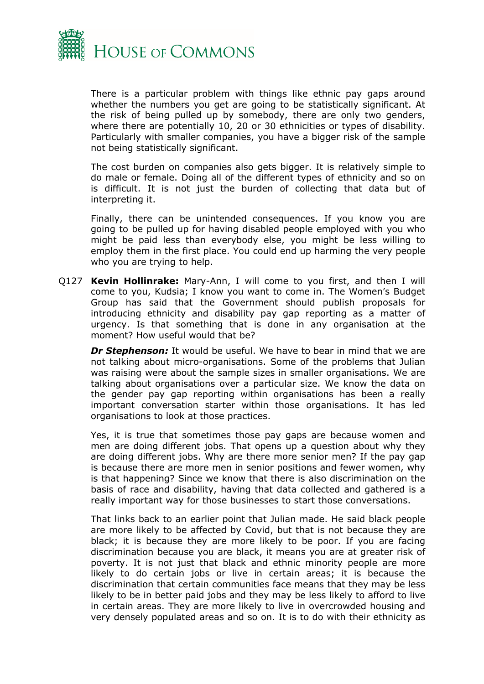

There is a particular problem with things like ethnic pay gaps around whether the numbers you get are going to be statistically significant. At the risk of being pulled up by somebody, there are only two genders, where there are potentially 10, 20 or 30 ethnicities or types of disability. Particularly with smaller companies, you have a bigger risk of the sample not being statistically significant.

The cost burden on companies also gets bigger. It is relatively simple to do male or female. Doing all of the different types of ethnicity and so on is difficult. It is not just the burden of collecting that data but of interpreting it.

Finally, there can be unintended consequences. If you know you are going to be pulled up for having disabled people employed with you who might be paid less than everybody else, you might be less willing to employ them in the first place. You could end up harming the very people who you are trying to help.

Q127 **Kevin Hollinrake:** Mary-Ann, I will come to you first, and then I will come to you, Kudsia; I know you want to come in. The Women's Budget Group has said that the Government should publish proposals for introducing ethnicity and disability pay gap reporting as a matter of urgency. Is that something that is done in any organisation at the moment? How useful would that be?

*Dr Stephenson:* It would be useful. We have to bear in mind that we are not talking about micro-organisations. Some of the problems that Julian was raising were about the sample sizes in smaller organisations. We are talking about organisations over a particular size. We know the data on the gender pay gap reporting within organisations has been a really important conversation starter within those organisations. It has led organisations to look at those practices.

Yes, it is true that sometimes those pay gaps are because women and men are doing different jobs. That opens up a question about why they are doing different jobs. Why are there more senior men? If the pay gap is because there are more men in senior positions and fewer women, why is that happening? Since we know that there is also discrimination on the basis of race and disability, having that data collected and gathered is a really important way for those businesses to start those conversations.

That links back to an earlier point that Julian made. He said black people are more likely to be affected by Covid, but that is not because they are black; it is because they are more likely to be poor. If you are facing discrimination because you are black, it means you are at greater risk of poverty. It is not just that black and ethnic minority people are more likely to do certain jobs or live in certain areas; it is because the discrimination that certain communities face means that they may be less likely to be in better paid jobs and they may be less likely to afford to live in certain areas. They are more likely to live in overcrowded housing and very densely populated areas and so on. It is to do with their ethnicity as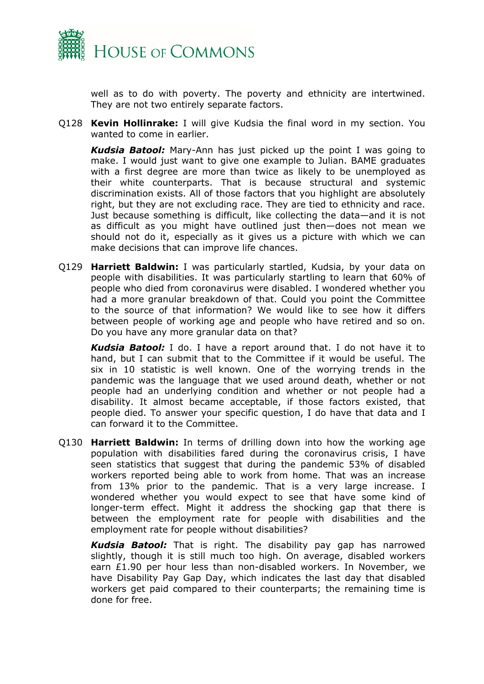

well as to do with poverty. The poverty and ethnicity are intertwined. They are not two entirely separate factors.

Q128 **Kevin Hollinrake:** I will give Kudsia the final word in my section. You wanted to come in earlier.

*Kudsia Batool:* Mary-Ann has just picked up the point I was going to make. I would just want to give one example to Julian. BAME graduates with a first degree are more than twice as likely to be unemployed as their white counterparts. That is because structural and systemic discrimination exists. All of those factors that you highlight are absolutely right, but they are not excluding race. They are tied to ethnicity and race. Just because something is difficult, like collecting the data—and it is not as difficult as you might have outlined just then—does not mean we should not do it, especially as it gives us a picture with which we can make decisions that can improve life chances.

Q129 **Harriett Baldwin:** I was particularly startled, Kudsia, by your data on people with disabilities. It was particularly startling to learn that 60% of people who died from coronavirus were disabled. I wondered whether you had a more granular breakdown of that. Could you point the Committee to the source of that information? We would like to see how it differs between people of working age and people who have retired and so on. Do you have any more granular data on that?

*Kudsia Batool:* I do. I have a report around that. I do not have it to hand, but I can submit that to the Committee if it would be useful. The six in 10 statistic is well known. One of the worrying trends in the pandemic was the language that we used around death, whether or not people had an underlying condition and whether or not people had a disability. It almost became acceptable, if those factors existed, that people died. To answer your specific question, I do have that data and I can forward it to the Committee.

Q130 **Harriett Baldwin:** In terms of drilling down into how the working age population with disabilities fared during the coronavirus crisis, I have seen statistics that suggest that during the pandemic 53% of disabled workers reported being able to work from home. That was an increase from 13% prior to the pandemic. That is a very large increase. I wondered whether you would expect to see that have some kind of longer-term effect. Might it address the shocking gap that there is between the employment rate for people with disabilities and the employment rate for people without disabilities?

*Kudsia Batool:* That is right. The disability pay gap has narrowed slightly, though it is still much too high. On average, disabled workers earn £1.90 per hour less than non-disabled workers. In November, we have Disability Pay Gap Day, which indicates the last day that disabled workers get paid compared to their counterparts; the remaining time is done for free.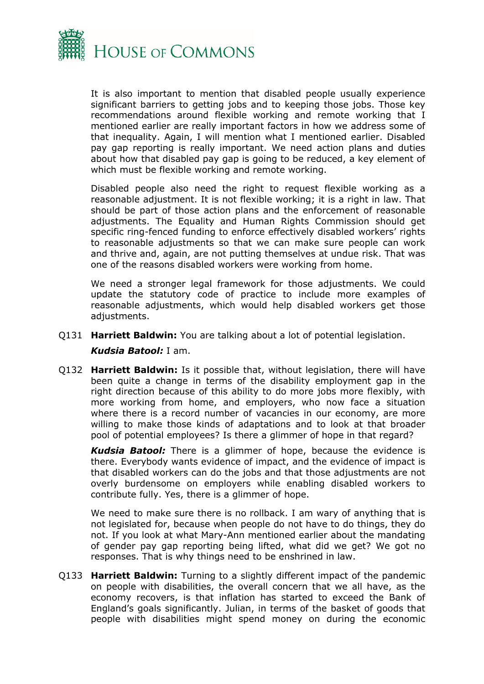

It is also important to mention that disabled people usually experience significant barriers to getting jobs and to keeping those jobs. Those key recommendations around flexible working and remote working that I mentioned earlier are really important factors in how we address some of that inequality. Again, I will mention what I mentioned earlier. Disabled pay gap reporting is really important. We need action plans and duties about how that disabled pay gap is going to be reduced, a key element of which must be flexible working and remote working.

Disabled people also need the right to request flexible working as a reasonable adjustment. It is not flexible working; it is a right in law. That should be part of those action plans and the enforcement of reasonable adjustments. The Equality and Human Rights Commission should get specific ring-fenced funding to enforce effectively disabled workers' rights to reasonable adjustments so that we can make sure people can work and thrive and, again, are not putting themselves at undue risk. That was one of the reasons disabled workers were working from home.

We need a stronger legal framework for those adjustments. We could update the statutory code of practice to include more examples of reasonable adjustments, which would help disabled workers get those adjustments.

- Q131 **Harriett Baldwin:** You are talking about a lot of potential legislation. *Kudsia Batool:* I am.
- Q132 **Harriett Baldwin:** Is it possible that, without legislation, there will have been quite a change in terms of the disability employment gap in the right direction because of this ability to do more jobs more flexibly, with more working from home, and employers, who now face a situation where there is a record number of vacancies in our economy, are more willing to make those kinds of adaptations and to look at that broader pool of potential employees? Is there a glimmer of hope in that regard?

*Kudsia Batool:* There is a glimmer of hope, because the evidence is there. Everybody wants evidence of impact, and the evidence of impact is that disabled workers can do the jobs and that those adjustments are not overly burdensome on employers while enabling disabled workers to contribute fully. Yes, there is a glimmer of hope.

We need to make sure there is no rollback. I am wary of anything that is not legislated for, because when people do not have to do things, they do not. If you look at what Mary-Ann mentioned earlier about the mandating of gender pay gap reporting being lifted, what did we get? We got no responses. That is why things need to be enshrined in law.

Q133 **Harriett Baldwin:** Turning to a slightly different impact of the pandemic on people with disabilities, the overall concern that we all have, as the economy recovers, is that inflation has started to exceed the Bank of England's goals significantly. Julian, in terms of the basket of goods that people with disabilities might spend money on during the economic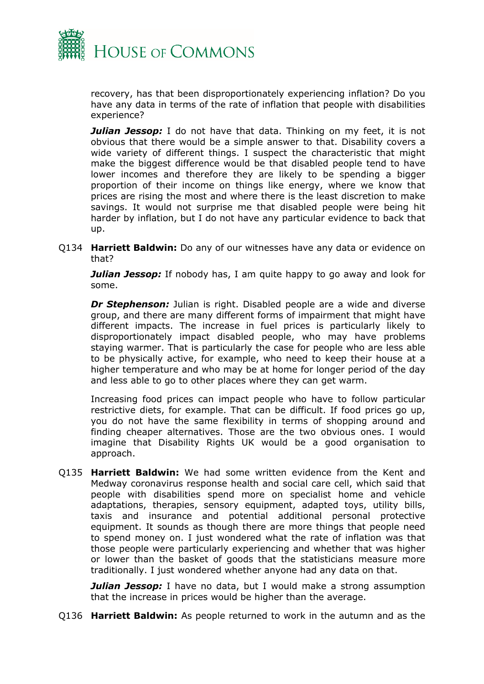

recovery, has that been disproportionately experiencing inflation? Do you have any data in terms of the rate of inflation that people with disabilities experience?

*Julian Jessop:* I do not have that data. Thinking on my feet, it is not obvious that there would be a simple answer to that. Disability covers a wide variety of different things. I suspect the characteristic that might make the biggest difference would be that disabled people tend to have lower incomes and therefore they are likely to be spending a bigger proportion of their income on things like energy, where we know that prices are rising the most and where there is the least discretion to make savings. It would not surprise me that disabled people were being hit harder by inflation, but I do not have any particular evidence to back that up.

Q134 **Harriett Baldwin:** Do any of our witnesses have any data or evidence on that?

*Julian Jessop:* If nobody has, I am quite happy to go away and look for some.

**Dr Stephenson:** Julian is right. Disabled people are a wide and diverse group, and there are many different forms of impairment that might have different impacts. The increase in fuel prices is particularly likely to disproportionately impact disabled people, who may have problems staying warmer. That is particularly the case for people who are less able to be physically active, for example, who need to keep their house at a higher temperature and who may be at home for longer period of the day and less able to go to other places where they can get warm.

Increasing food prices can impact people who have to follow particular restrictive diets, for example. That can be difficult. If food prices go up, you do not have the same flexibility in terms of shopping around and finding cheaper alternatives. Those are the two obvious ones. I would imagine that Disability Rights UK would be a good organisation to approach.

Q135 **Harriett Baldwin:** We had some written evidence from the Kent and Medway coronavirus response health and social care cell, which said that people with disabilities spend more on specialist home and vehicle adaptations, therapies, sensory equipment, adapted toys, utility bills, taxis and insurance and potential additional personal protective equipment. It sounds as though there are more things that people need to spend money on. I just wondered what the rate of inflation was that those people were particularly experiencing and whether that was higher or lower than the basket of goods that the statisticians measure more traditionally. I just wondered whether anyone had any data on that.

**Julian Jessop:** I have no data, but I would make a strong assumption that the increase in prices would be higher than the average.

Q136 **Harriett Baldwin:** As people returned to work in the autumn and as the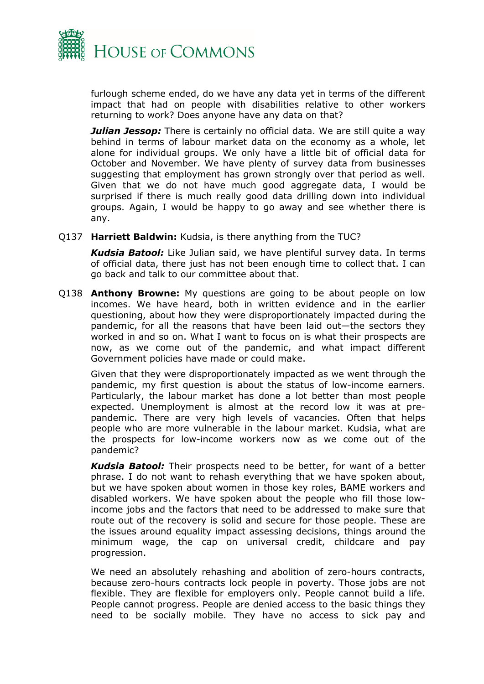

furlough scheme ended, do we have any data yet in terms of the different impact that had on people with disabilities relative to other workers returning to work? Does anyone have any data on that?

*Julian Jessop:* There is certainly no official data. We are still quite a way behind in terms of labour market data on the economy as a whole, let alone for individual groups. We only have a little bit of official data for October and November. We have plenty of survey data from businesses suggesting that employment has grown strongly over that period as well. Given that we do not have much good aggregate data, I would be surprised if there is much really good data drilling down into individual groups. Again, I would be happy to go away and see whether there is any.

Q137 **Harriett Baldwin:** Kudsia, is there anything from the TUC?

*Kudsia Batool:* Like Julian said, we have plentiful survey data. In terms of official data, there just has not been enough time to collect that. I can go back and talk to our committee about that.

Q138 **Anthony Browne:** My questions are going to be about people on low incomes. We have heard, both in written evidence and in the earlier questioning, about how they were disproportionately impacted during the pandemic, for all the reasons that have been laid out—the sectors they worked in and so on. What I want to focus on is what their prospects are now, as we come out of the pandemic, and what impact different Government policies have made or could make.

Given that they were disproportionately impacted as we went through the pandemic, my first question is about the status of low-income earners. Particularly, the labour market has done a lot better than most people expected. Unemployment is almost at the record low it was at prepandemic. There are very high levels of vacancies. Often that helps people who are more vulnerable in the labour market. Kudsia, what are the prospects for low-income workers now as we come out of the pandemic?

*Kudsia Batool:* Their prospects need to be better, for want of a better phrase. I do not want to rehash everything that we have spoken about, but we have spoken about women in those key roles, BAME workers and disabled workers. We have spoken about the people who fill those lowincome jobs and the factors that need to be addressed to make sure that route out of the recovery is solid and secure for those people. These are the issues around equality impact assessing decisions, things around the minimum wage, the cap on universal credit, childcare and pay progression.

We need an absolutely rehashing and abolition of zero-hours contracts, because zero-hours contracts lock people in poverty. Those jobs are not flexible. They are flexible for employers only. People cannot build a life. People cannot progress. People are denied access to the basic things they need to be socially mobile. They have no access to sick pay and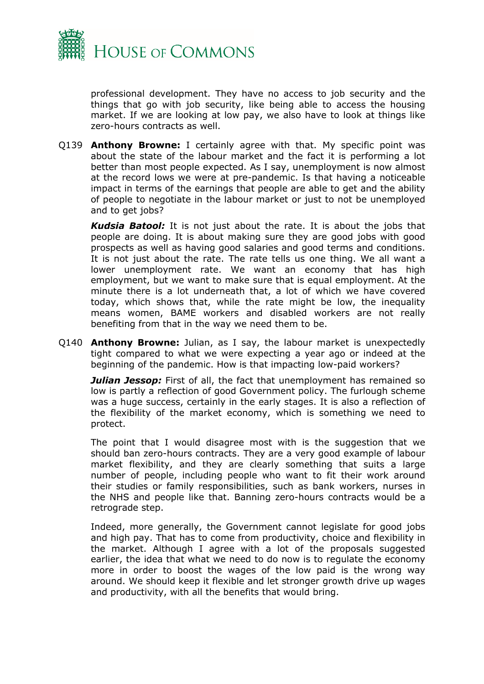

professional development. They have no access to job security and the things that go with job security, like being able to access the housing market. If we are looking at low pay, we also have to look at things like zero-hours contracts as well.

Q139 **Anthony Browne:** I certainly agree with that. My specific point was about the state of the labour market and the fact it is performing a lot better than most people expected. As I say, unemployment is now almost at the record lows we were at pre-pandemic. Is that having a noticeable impact in terms of the earnings that people are able to get and the ability of people to negotiate in the labour market or just to not be unemployed and to get jobs?

*Kudsia Batool:* It is not just about the rate. It is about the jobs that people are doing. It is about making sure they are good jobs with good prospects as well as having good salaries and good terms and conditions. It is not just about the rate. The rate tells us one thing. We all want a lower unemployment rate. We want an economy that has high employment, but we want to make sure that is equal employment. At the minute there is a lot underneath that, a lot of which we have covered today, which shows that, while the rate might be low, the inequality means women, BAME workers and disabled workers are not really benefiting from that in the way we need them to be.

Q140 **Anthony Browne:** Julian, as I say, the labour market is unexpectedly tight compared to what we were expecting a year ago or indeed at the beginning of the pandemic. How is that impacting low-paid workers?

**Julian Jessop:** First of all, the fact that unemployment has remained so low is partly a reflection of good Government policy. The furlough scheme was a huge success, certainly in the early stages. It is also a reflection of the flexibility of the market economy, which is something we need to protect.

The point that I would disagree most with is the suggestion that we should ban zero-hours contracts. They are a very good example of labour market flexibility, and they are clearly something that suits a large number of people, including people who want to fit their work around their studies or family responsibilities, such as bank workers, nurses in the NHS and people like that. Banning zero-hours contracts would be a retrograde step.

Indeed, more generally, the Government cannot legislate for good jobs and high pay. That has to come from productivity, choice and flexibility in the market. Although I agree with a lot of the proposals suggested earlier, the idea that what we need to do now is to regulate the economy more in order to boost the wages of the low paid is the wrong way around. We should keep it flexible and let stronger growth drive up wages and productivity, with all the benefits that would bring.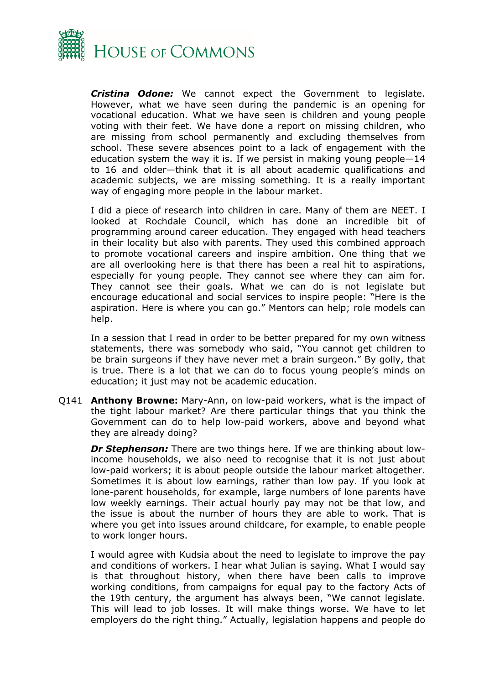

*Cristina Odone:* We cannot expect the Government to legislate. However, what we have seen during the pandemic is an opening for vocational education. What we have seen is children and young people voting with their feet. We have done a report on missing children, who are missing from school permanently and excluding themselves from school. These severe absences point to a lack of engagement with the education system the way it is. If we persist in making young people—14 to 16 and older—think that it is all about academic qualifications and academic subjects, we are missing something. It is a really important way of engaging more people in the labour market.

I did a piece of research into children in care. Many of them are NEET. I looked at Rochdale Council, which has done an incredible bit of programming around career education. They engaged with head teachers in their locality but also with parents. They used this combined approach to promote vocational careers and inspire ambition. One thing that we are all overlooking here is that there has been a real hit to aspirations, especially for young people. They cannot see where they can aim for. They cannot see their goals. What we can do is not legislate but encourage educational and social services to inspire people: "Here is the aspiration. Here is where you can go." Mentors can help; role models can help.

In a session that I read in order to be better prepared for my own witness statements, there was somebody who said, "You cannot get children to be brain surgeons if they have never met a brain surgeon." By golly, that is true. There is a lot that we can do to focus young people's minds on education; it just may not be academic education.

Q141 **Anthony Browne:** Mary-Ann, on low-paid workers, what is the impact of the tight labour market? Are there particular things that you think the Government can do to help low-paid workers, above and beyond what they are already doing?

*Dr Stephenson:* There are two things here. If we are thinking about lowincome households, we also need to recognise that it is not just about low-paid workers; it is about people outside the labour market altogether. Sometimes it is about low earnings, rather than low pay. If you look at lone-parent households, for example, large numbers of lone parents have low weekly earnings. Their actual hourly pay may not be that low, and the issue is about the number of hours they are able to work. That is where you get into issues around childcare, for example, to enable people to work longer hours.

I would agree with Kudsia about the need to legislate to improve the pay and conditions of workers. I hear what Julian is saying. What I would say is that throughout history, when there have been calls to improve working conditions, from campaigns for equal pay to the factory Acts of the 19th century, the argument has always been, "We cannot legislate. This will lead to job losses. It will make things worse. We have to let employers do the right thing." Actually, legislation happens and people do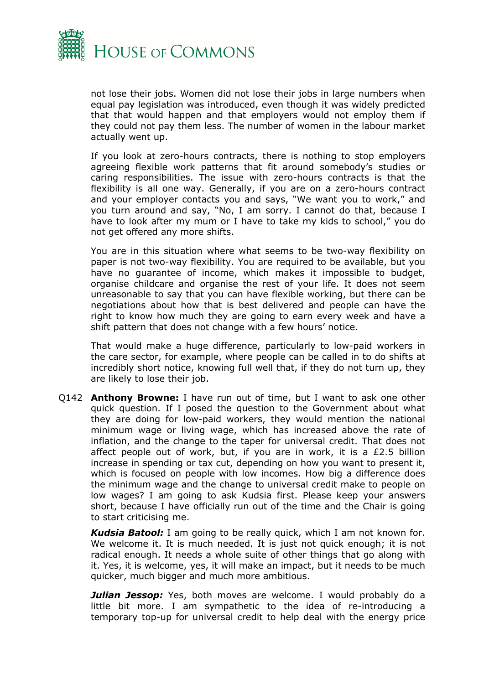

not lose their jobs. Women did not lose their jobs in large numbers when equal pay legislation was introduced, even though it was widely predicted that that would happen and that employers would not employ them if they could not pay them less. The number of women in the labour market actually went up.

If you look at zero-hours contracts, there is nothing to stop employers agreeing flexible work patterns that fit around somebody's studies or caring responsibilities. The issue with zero-hours contracts is that the flexibility is all one way. Generally, if you are on a zero-hours contract and your employer contacts you and says, "We want you to work," and you turn around and say, "No, I am sorry. I cannot do that, because I have to look after my mum or I have to take my kids to school," you do not get offered any more shifts.

You are in this situation where what seems to be two-way flexibility on paper is not two-way flexibility. You are required to be available, but you have no guarantee of income, which makes it impossible to budget, organise childcare and organise the rest of your life. It does not seem unreasonable to say that you can have flexible working, but there can be negotiations about how that is best delivered and people can have the right to know how much they are going to earn every week and have a shift pattern that does not change with a few hours' notice.

That would make a huge difference, particularly to low-paid workers in the care sector, for example, where people can be called in to do shifts at incredibly short notice, knowing full well that, if they do not turn up, they are likely to lose their job.

Q142 **Anthony Browne:** I have run out of time, but I want to ask one other quick question. If I posed the question to the Government about what they are doing for low-paid workers, they would mention the national minimum wage or living wage, which has increased above the rate of inflation, and the change to the taper for universal credit. That does not affect people out of work, but, if you are in work, it is a £2.5 billion increase in spending or tax cut, depending on how you want to present it, which is focused on people with low incomes. How big a difference does the minimum wage and the change to universal credit make to people on low wages? I am going to ask Kudsia first. Please keep your answers short, because I have officially run out of the time and the Chair is going to start criticising me.

*Kudsia Batool:* I am going to be really quick, which I am not known for. We welcome it. It is much needed. It is just not quick enough; it is not radical enough. It needs a whole suite of other things that go along with it. Yes, it is welcome, yes, it will make an impact, but it needs to be much quicker, much bigger and much more ambitious.

**Julian Jessop:** Yes, both moves are welcome. I would probably do a little bit more. I am sympathetic to the idea of re-introducing a temporary top-up for universal credit to help deal with the energy price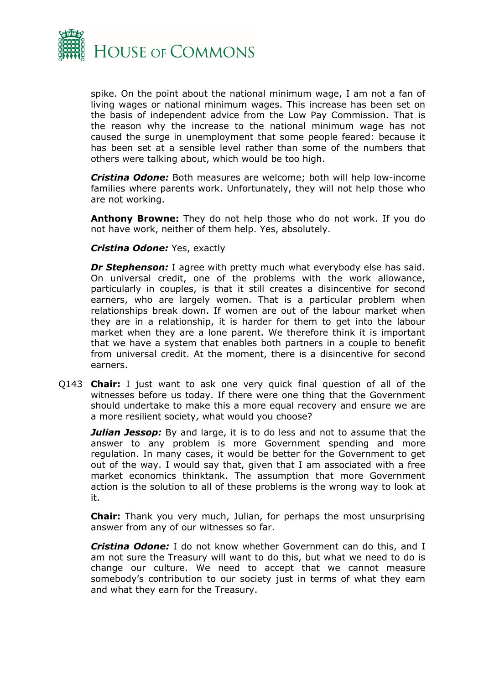

spike. On the point about the national minimum wage, I am not a fan of living wages or national minimum wages. This increase has been set on the basis of independent advice from the Low Pay Commission. That is the reason why the increase to the national minimum wage has not caused the surge in unemployment that some people feared: because it has been set at a sensible level rather than some of the numbers that others were talking about, which would be too high.

*Cristina Odone:* Both measures are welcome; both will help low-income families where parents work. Unfortunately, they will not help those who are not working.

**Anthony Browne:** They do not help those who do not work. If you do not have work, neither of them help. Yes, absolutely.

## *Cristina Odone:* Yes, exactly

*Dr Stephenson:* I agree with pretty much what everybody else has said. On universal credit, one of the problems with the work allowance, particularly in couples, is that it still creates a disincentive for second earners, who are largely women. That is a particular problem when relationships break down. If women are out of the labour market when they are in a relationship, it is harder for them to get into the labour market when they are a lone parent. We therefore think it is important that we have a system that enables both partners in a couple to benefit from universal credit. At the moment, there is a disincentive for second earners.

Q143 **Chair:** I just want to ask one very quick final question of all of the witnesses before us today. If there were one thing that the Government should undertake to make this a more equal recovery and ensure we are a more resilient society, what would you choose?

*Julian Jessop:* By and large, it is to do less and not to assume that the answer to any problem is more Government spending and more regulation. In many cases, it would be better for the Government to get out of the way. I would say that, given that I am associated with a free market economics thinktank. The assumption that more Government action is the solution to all of these problems is the wrong way to look at it.

**Chair:** Thank you very much, Julian, for perhaps the most unsurprising answer from any of our witnesses so far.

*Cristina Odone:* I do not know whether Government can do this, and I am not sure the Treasury will want to do this, but what we need to do is change our culture. We need to accept that we cannot measure somebody's contribution to our society just in terms of what they earn and what they earn for the Treasury.